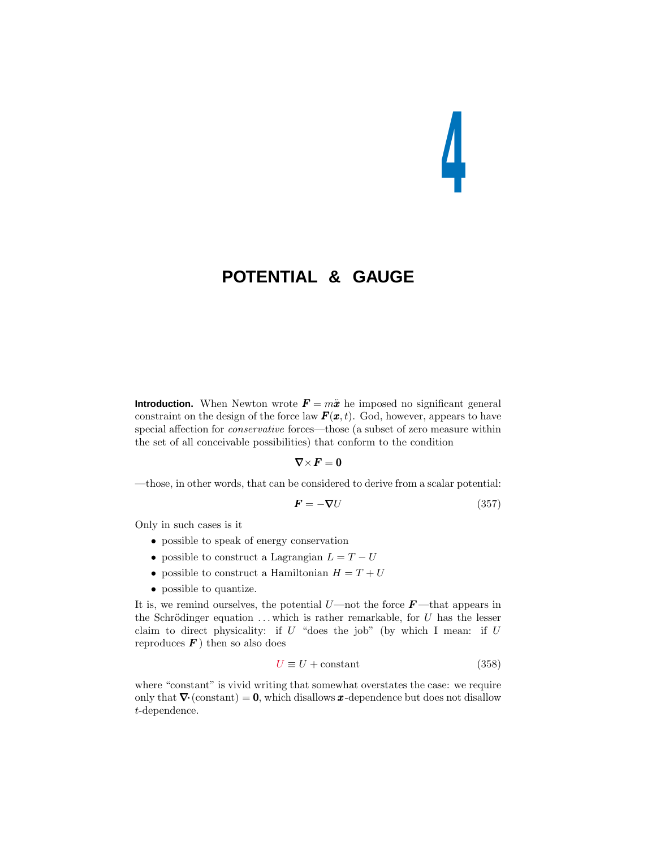# **4**

# **POTENTIAL & GAUGE**

**Introduction.** When Newton wrote  $\mathbf{F} = m\ddot{x}$  he imposed no significant general constraint on the design of the force law  $\mathbf{F}(\mathbf{x},t)$ . God, however, appears to have special affection for conservative forces—those (a subset of zero measure within the set of all conceivable possibilities) that conform to the condition

$$
\nabla\times\boldsymbol{F}=0
$$

—those, in other words, that can be considered to derive from a scalar potential:

$$
\boldsymbol{F} = -\boldsymbol{\nabla}U\tag{357}
$$

Only in such cases is it

- possible to speak of energy conservation
- possible to construct a Lagrangian  $L = T U$
- possible to construct a Hamiltonian  $H = T + U$
- possible to quantize.

It is, we remind ourselves, the potential *U*—not the force *F* —that appears in the Schrödinger equation  $\dots$  which is rather remarkable, for  $U$  has the lesser claim to direct physicality: if *U* "does the job" (by which I mean: if *U* reproduces  $\boldsymbol{F}$ ) then so also does

$$
U \equiv U + \text{constant} \tag{358}
$$

where "constant" is vivid writing that somewhat overstates the case: we require only that  $\nabla$  (constant) = 0, which disallows *x*-dependence but does not disallow *t*-dependence.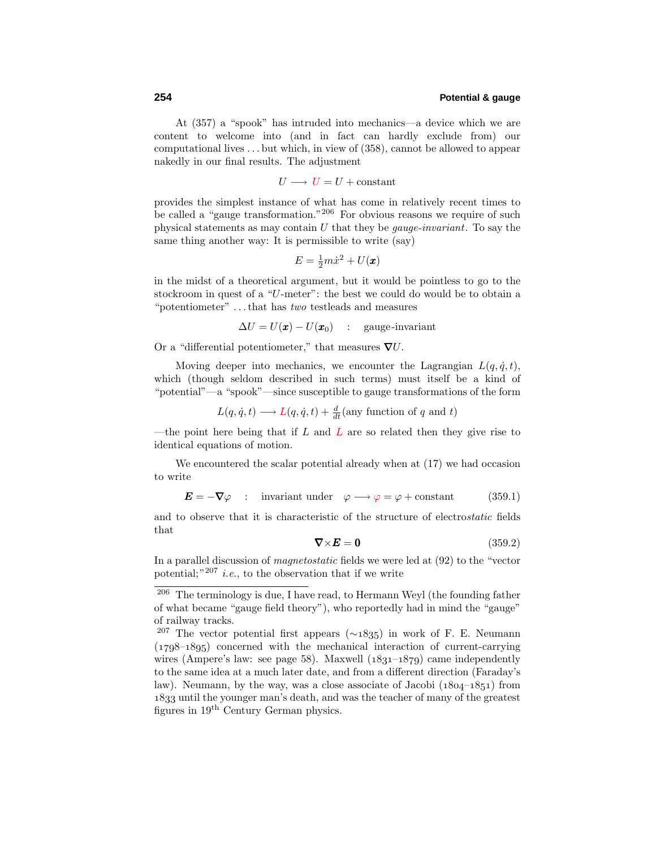At (357) a "spook" has intruded into mechanics—a device which we are content to welcome into (and in fact can hardly exclude from) our computational lives *...* but which, in view of (358), cannot be allowed to appear nakedly in our final results. The adjustment

 $U \longrightarrow U = U + constant$ 

provides the simplest instance of what has come in relatively recent times to be called a "gauge transformation."<sup>206</sup> For obvious reasons we require of such physical statements as may contain *U* that they be gauge-invariant. To say the same thing another way: It is permissible to write (say)

$$
E = \frac{1}{2}m\dot{x}^2 + U(\pmb{x})
$$

in the midst of a theoretical argument, but it would be pointless to go to the stockroom in quest of a "*U*-meter": the best we could do would be to obtain a "potentiometer" *...*that has two testleads and measures

 $\Delta U = U(\mathbf{x}) - U(\mathbf{x}_0)$  : gauge-invariant

Or a "differential potentiometer," that measures ∇*U*.

Moving deeper into mechanics, we encounter the Lagrangian  $L(q, \dot{q}, t)$ , which (though seldom described in such terms) must itself be a kind of "potential"—a "spook"—since susceptible to gauge transformations of the form

$$
L(q, \dot{q}, t) \longrightarrow L(q, \dot{q}, t) + \frac{d}{dt}
$$
(any function of q and t)

—the point here being that if *L* and *L* are so related then they give rise to identical equations of motion.

We encountered the scalar potential already when at (17) we had occasion to write

$$
\mathbf{E} = -\nabla\varphi \quad : \quad \text{invariant under} \quad \varphi \longrightarrow \varphi = \varphi + \text{constant} \tag{359.1}
$$

and to observe that it is characteristic of the structure of electrostatic fields that

$$
\nabla \times \mathbf{E} = \mathbf{0} \tag{359.2}
$$

In a parallel discussion of magnetostatic fields we were led at (92) to the "vector potential;  $n^{207}$  *i.e.*, to the observation that if we write

<sup>206</sup> The terminology is due, I have read, to Hermann Weyl (the founding father of what became "gauge field theory"), who reportedly had in mind the "gauge" of railway tracks.

<sup>&</sup>lt;sup>207</sup> The vector potential first appears ( $\sim$ 1835) in work of F. E. Neumann  $(1798-1895)$  concerned with the mechanical interaction of current-carrying wires (Ampere's law: see page 58). Maxwell  $(1831-1879)$  came independently to the same idea at a much later date, and from a different direction (Faraday's law). Neumann, by the way, was a close associate of Jacobi  $(1804-1851)$  from 1833 until the younger man's death, and was the teacher of many of the greatest figures in 19th Century German physics.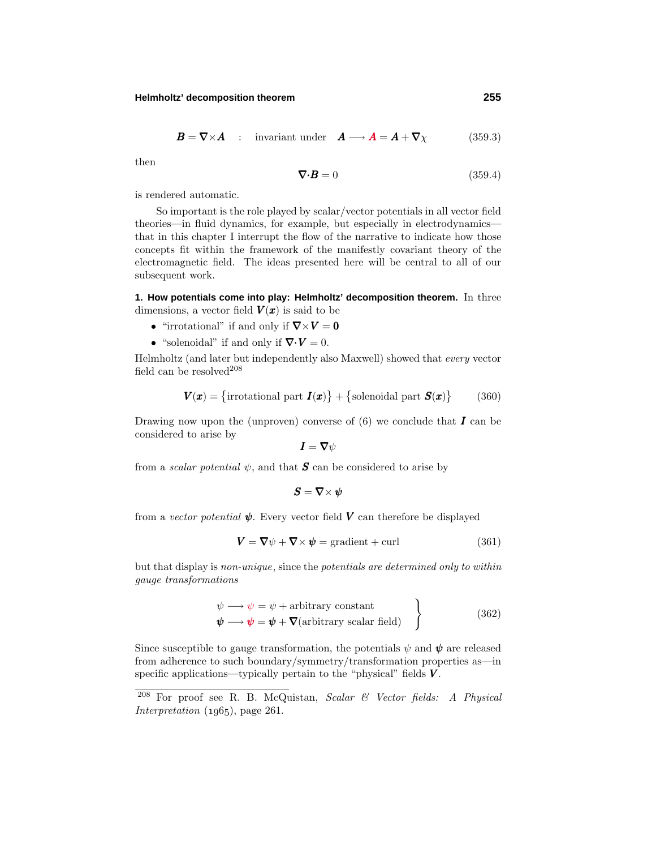#### **Helmholtz' decomposition theorem 255**

$$
\boldsymbol{B} = \boldsymbol{\nabla} \times \boldsymbol{A} \quad : \quad \text{invariant under} \quad \boldsymbol{A} \longrightarrow \boldsymbol{A} = \boldsymbol{A} + \boldsymbol{\nabla} \chi \tag{359.3}
$$

then

$$
\nabla \cdot \mathbf{B} = 0 \tag{359.4}
$$

is rendered automatic.

So important is the role played by scalar/vector potentials in all vector field theories—in fluid dynamics, for example, but especially in electrodynamics that in this chapter I interrupt the flow of the narrative to indicate how those concepts fit within the framework of the manifestly covariant theory of the electromagnetic field. The ideas presented here will be central to all of our subsequent work.

**1. How potentials come into play: Helmholtz' decomposition theorem.** In three dimensions, a vector field  $V(x)$  is said to be

- "irrotational" if and only if  $\nabla \times V = 0$
- "solenoidal" if and only if  $\nabla \cdot \mathbf{V} = 0$ .

Helmholtz (and later but independently also Maxwell) showed that every vector field can be resolved $208$ 

$$
\boldsymbol{V}(\boldsymbol{x}) = \{ \text{irrotational part } \boldsymbol{I}(\boldsymbol{x}) \} + \{ \text{solenoidal part } \boldsymbol{S}(\boldsymbol{x}) \} \tag{360}
$$

Drawing now upon the (unproven) converse of  $(6)$  we conclude that *I* can be considered to arise by

$$
\boldsymbol{I}=\boldsymbol{\nabla}\psi
$$

from a *scalar potential*  $\psi$ , and that **S** can be considered to arise by

$$
\pmb{S}=\pmb{\nabla}\times\pmb{\psi}
$$

from a vector potential  $\psi$ . Every vector field  $V$  can therefore be displayed

$$
\mathbf{V} = \nabla \psi + \nabla \times \psi = \text{gradient} + \text{curl} \tag{361}
$$

but that display is non-unique, since the potentials are determined only to within gauge transformations

$$
\psi \longrightarrow \psi = \psi + \text{arbitrary constant}
$$
  
\n
$$
\psi \longrightarrow \psi = \psi + \nabla(\text{arbitrary scalar field})
$$
 (362)

Since susceptible to gauge transformation, the potentials  $\psi$  and  $\psi$  are released from adherence to such boundary/symmetry/transformation properties as—in specific applications—typically pertain to the "physical" fields *V* .

<sup>208</sup> For proof see R. B. McQuistan, Scalar & Vector fields: A Physical Interpretation  $(1965)$ , page 261.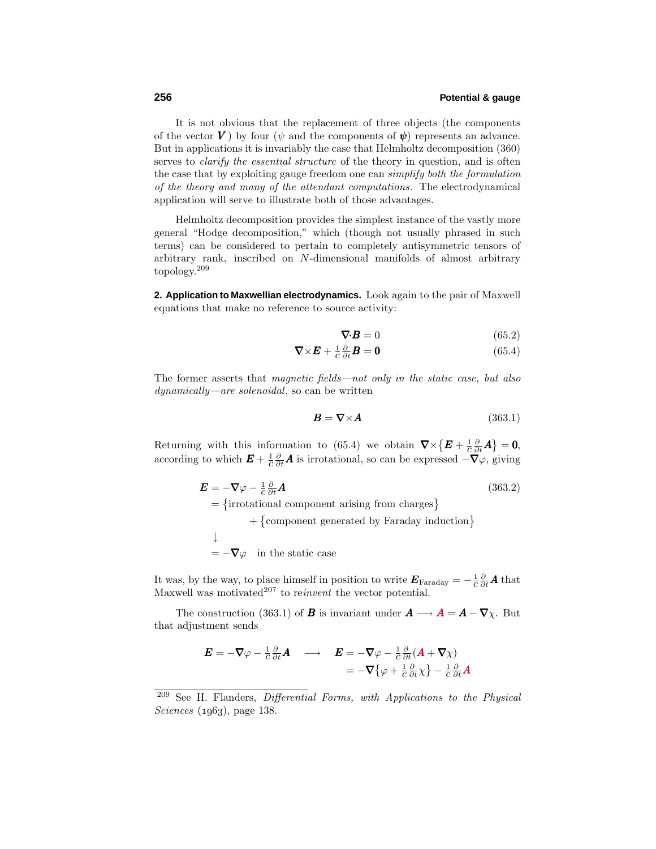It is not obvious that the replacement of three objects (the components of the vector *V*) by four ( $\psi$  and the components of  $\psi$ ) represents an advance. But in applications it is invariably the case that Helmholtz decomposition (360) serves to *clarify the essential structure* of the theory in question, and is often the case that by exploiting gauge freedom one can simplify both the formulation of the theory and many of the attendant computations. The electrodynamical application will serve to illustrate both of those advantages.

Helmholtz decomposition provides the simplest instance of the vastly more general "Hodge decomposition," which (though not usually phrased in such terms) can be considered to pertain to completely antisymmetric tensors of arbitrary rank, inscribed on *N*-dimensional manifolds of almost arbitrary topology.<sup>209</sup>

**2. Application to Maxwellian electrodynamics.** Look again to the pair of Maxwell equations that make no reference to source activity:

$$
\nabla \cdot \boldsymbol{B} = 0 \tag{65.2}
$$

$$
\nabla \times \boldsymbol{E} + \frac{1}{c} \frac{\partial}{\partial t} \boldsymbol{B} = \mathbf{0} \tag{65.4}
$$

The former asserts that *magnetic fields—not only in the static case*, but also dynamically—are solenoidal, so can be written

$$
B = \nabla \times A \tag{363.1}
$$

Returning with this information to (65.4) we obtain  $\nabla \times \{E + \frac{1}{c} \frac{\partial}{\partial t} A\} = 0$ , according to which  $E + \frac{1}{c} \frac{\partial}{\partial t} A$  is irrotational, so can be expressed  $-\nabla \varphi$ , giving

$$
\mathbf{E} = -\nabla\varphi - \frac{1}{c}\frac{\partial}{\partial t}\mathbf{A}
$$
(363.2)  
= {irrotational component arising from charges}  
+ {component generated by Faraday induction}  

$$
\downarrow
$$
  
= - $\nabla\varphi$  in the static case

It was, by the way, to place himself in position to write  $\mathbf{E}_{\text{Faraday}} = -\frac{1}{c} \frac{\partial}{\partial t} \mathbf{A}$  that Maxwell was motivated<sup>207</sup> to reinvent the vector potential.

The construction (363.1) of *B* is invariant under  $A \longrightarrow A = A - \nabla \chi$ . But that adjustment sends

$$
\mathbf{E} = -\nabla \varphi - \frac{1}{c} \frac{\partial}{\partial t} \mathbf{A} \quad \longrightarrow \quad \mathbf{E} = -\nabla \varphi - \frac{1}{c} \frac{\partial}{\partial t} (\mathbf{A} + \nabla \chi)
$$

$$
= -\nabla \{ \varphi + \frac{1}{c} \frac{\partial}{\partial t} \chi \} - \frac{1}{c} \frac{\partial}{\partial t} \mathbf{A}
$$

 $209$  See H. Flanders, *Differential Forms*, with *Applications to the Physical*  $Sciences$  (1963), page 138.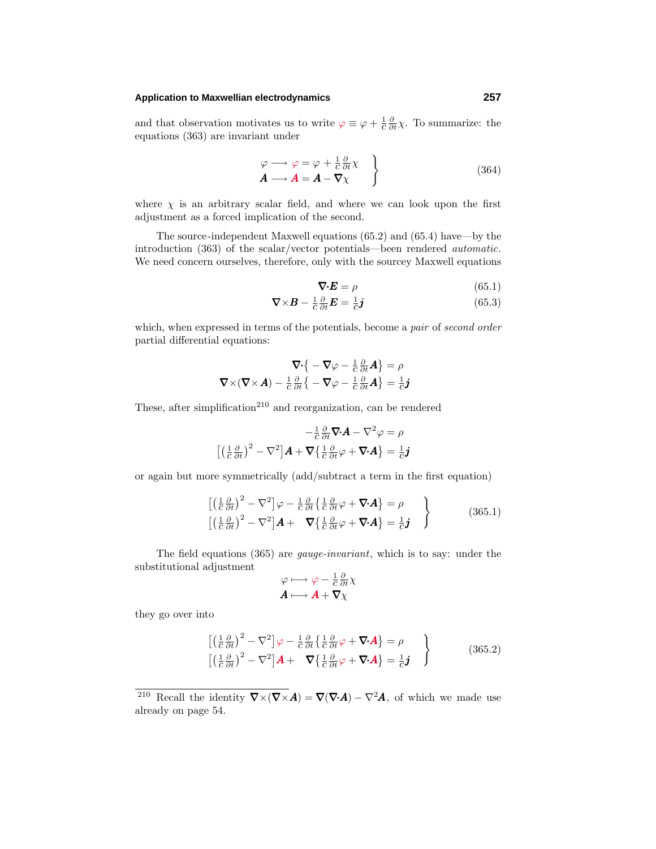#### **Application to Maxwellian electrodynamics 257**

and that observation motivates us to write  $\varphi \equiv \varphi + \frac{1}{c} \frac{\partial}{\partial t} \chi$ . To summarize: the equations (363) are invariant under

$$
\begin{aligned}\n\varphi &\longrightarrow \varphi = \varphi + \frac{1}{c} \frac{\partial}{\partial t} \chi \\
A &\longrightarrow A = A - \nabla \chi\n\end{aligned}
$$
\n(364)

where  $\chi$  is an arbitrary scalar field, and where we can look upon the first adjustment as a forced implication of the second.

The source-independent Maxwell equations (65.2) and (65.4) have—by the introduction (363) of the scalar/vector potentials—been rendered automatic. We need concern ourselves, therefore, only with the sourcey Maxwell equations

$$
\nabla \cdot \boldsymbol{E} = \rho \tag{65.1}
$$

$$
\nabla \times \boldsymbol{B} - \frac{1}{c} \frac{\partial}{\partial t} \boldsymbol{E} = \frac{1}{c} \boldsymbol{j} \tag{65.3}
$$

which, when expressed in terms of the potentials, become a pair of second order partial differential equations:

$$
\nabla \cdot \left\{ -\nabla \varphi - \frac{1}{c} \frac{\partial}{\partial t} A \right\} = \rho
$$
  

$$
\nabla \times (\nabla \times A) - \frac{1}{c} \frac{\partial}{\partial t} \left\{ -\nabla \varphi - \frac{1}{c} \frac{\partial}{\partial t} A \right\} = \frac{1}{c} \mathbf{j}
$$

These, after simplification<sup>210</sup> and reorganization, can be rendered

$$
-\frac{1}{c}\frac{\partial}{\partial t}\nabla \cdot \mathbf{A} - \nabla^2 \varphi = \rho
$$

$$
\left[\left(\frac{1}{c}\frac{\partial}{\partial t}\right)^2 - \nabla^2\right]\mathbf{A} + \nabla\left\{\frac{1}{c}\frac{\partial}{\partial t}\varphi + \nabla \cdot \mathbf{A}\right\} = \frac{1}{c}\mathbf{j}
$$

or again but more symmetrically (add/subtract a term in the first equation)

$$
\begin{aligned}\n\left[ \left( \frac{1}{c} \frac{\partial}{\partial t} \right)^2 - \nabla^2 \right] \varphi - \frac{1}{c} \frac{\partial}{\partial t} \left\{ \frac{1}{c} \frac{\partial}{\partial t} \varphi + \nabla \cdot \mathbf{A} \right\} &= \rho \\
\left[ \left( \frac{1}{c} \frac{\partial}{\partial t} \right)^2 - \nabla^2 \right] \mathbf{A} + \nabla \left\{ \frac{1}{c} \frac{\partial}{\partial t} \varphi + \nabla \cdot \mathbf{A} \right\} &= \frac{1}{c} \mathbf{j}\n\end{aligned}\n\tag{365.1}
$$

The field equations (365) are gauge-invariant, which is to say: under the substitutional adjustment

$$
\varphi \longmapsto \varphi - \frac{1}{c} \frac{\partial}{\partial t} \chi
$$

$$
\mathbf{A} \longmapsto \mathbf{A} + \nabla \chi
$$

they go over into

$$
\begin{aligned}\n\left[ \left( \frac{1}{c} \frac{\partial}{\partial t} \right)^2 - \nabla^2 \right] \varphi - \frac{1}{c} \frac{\partial}{\partial t} \left\{ \frac{1}{c} \frac{\partial}{\partial t} \varphi + \nabla \cdot \mathbf{A} \right\} &= \rho \\
\left[ \left( \frac{1}{c} \frac{\partial}{\partial t} \right)^2 - \nabla^2 \right] \mathbf{A} + \nabla \left\{ \frac{1}{c} \frac{\partial}{\partial t} \varphi + \nabla \cdot \mathbf{A} \right\} &= \frac{1}{c} \mathbf{j}\n\end{aligned}\n\tag{365.2}
$$

<sup>&</sup>lt;sup>210</sup> Recall the identity  $\nabla \times (\nabla \times \mathbf{A}) = \nabla(\nabla \cdot \mathbf{A}) - \nabla^2 \mathbf{A}$ , of which we made use already on page 54.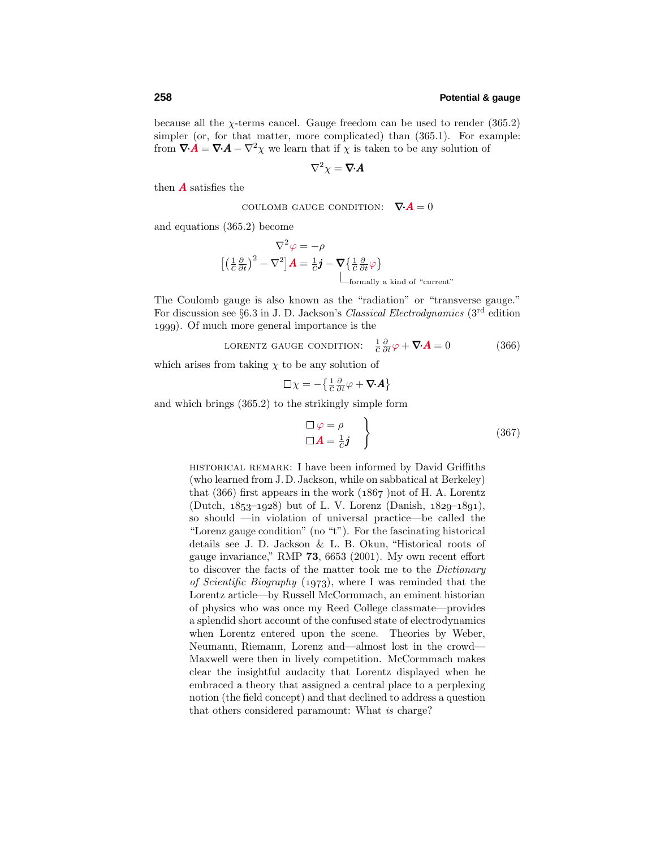because all the  $\chi$ -terms cancel. Gauge freedom can be used to render (365.2) simpler (or, for that matter, more complicated) than  $(365.1)$ . For example: from  $\nabla \cdot \mathbf{A} = \nabla \cdot \mathbf{A} - \nabla^2 \chi$  we learn that if  $\chi$  is taken to be any solution of

$$
\nabla^2 \chi = \nabla \cdot \bm{A}
$$

then *A* satisfies the

Coulomb GAUGE CONDITION: 
$$
\nabla \cdot \mathbf{A} = 0
$$

and equations (365.2) become

$$
\nabla^2 \varphi = -\rho
$$
  

$$
\left[ \left( \frac{1}{c} \frac{\partial}{\partial t} \right)^2 - \nabla^2 \right] \mathbf{A} = \frac{1}{c} \mathbf{j} - \nabla \left\{ \frac{1}{c} \frac{\partial}{\partial t} \varphi \right\}
$$
  
Formally a kind of "current"

The Coulomb gauge is also known as the "radiation" or "transverse gauge." For discussion see §6.3 in J. D. Jackson's Classical Electrodynamics (3rd edition ). Of much more general importance is the

LORENTZ GAUGE CONDITION: 
$$
\frac{1}{c} \frac{\partial}{\partial t} \varphi + \nabla \cdot \mathbf{A} = 0
$$
 (366)

which arises from taking  $\chi$  to be any solution of

$$
\Box \chi = -\left\{\frac{1}{c}\frac{\partial}{\partial t}\varphi + \nabla \cdot \bm{A}\right\}
$$

and which brings (365.2) to the strikingly simple form

$$
\Box \varphi = \rho \n\Box A = \frac{1}{c} \mathbf{j}
$$
\n(367)

historical remark: I have been informed by David Griffiths (who learned from J.D.Jackson, while on sabbatical at Berkeley) that  $(366)$  first appears in the work  $(1867)$  not of H. A. Lorentz  $(Dutch, 1853-1928)$  but of L. V. Lorenz (Danish,  $1829-1891$ ), so should —in violation of universal practice—be called the "Lorenz gauge condition" (no "t"). For the fascinating historical details see J. D. Jackson & L. B. Okun, "Historical roots of gauge invariance," RMP **73**, 6653 (2001). My own recent effort to discover the facts of the matter took me to the Dictionary of Scientific Biography (1973), where I was reminded that the Lorentz article—by Russell McCormmach, an eminent historian of physics who was once my Reed College classmate—provides a splendid short account of the confused state of electrodynamics when Lorentz entered upon the scene. Theories by Weber, Neumann, Riemann, Lorenz and—almost lost in the crowd— Maxwell were then in lively competition. McCormmach makes clear the insightful audacity that Lorentz displayed when he embraced a theory that assigned a central place to a perplexing notion (the field concept) and that declined to address a question that others considered paramount: What is charge?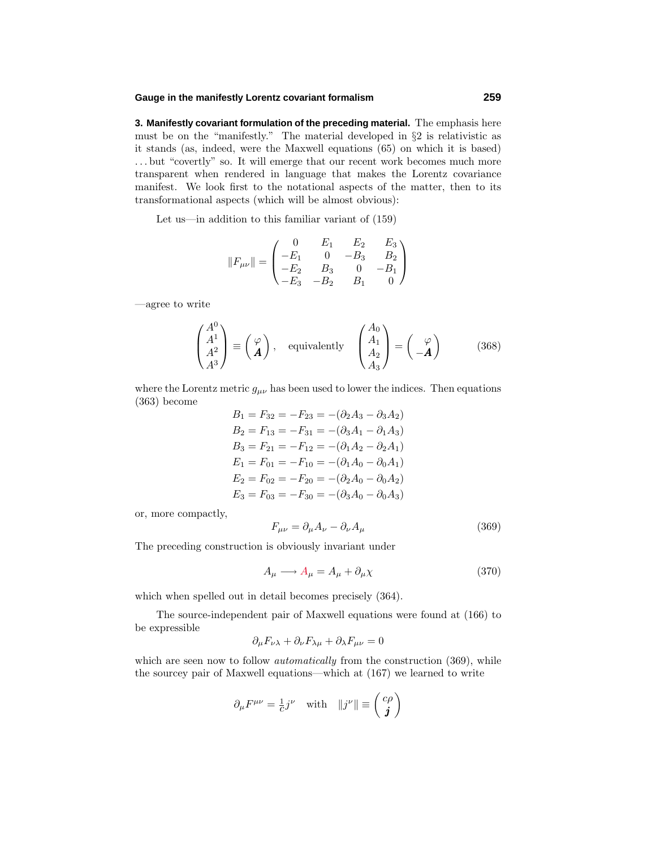#### **Gauge in the manifestly Lorentz covariant formalism 259**

**3. Manifestly covariant formulation of the preceding material.** The emphasis here must be on the "manifestly." The material developed in §2 is relativistic as it stands (as, indeed, were the Maxwell equations (65) on which it is based) *...* but "covertly" so. It will emerge that our recent work becomes much more transparent when rendered in language that makes the Lorentz covariance manifest. We look first to the notational aspects of the matter, then to its transformational aspects (which will be almost obvious):

Let us—in addition to this familiar variant of (159)

$$
||F_{\mu\nu}|| = \begin{pmatrix} 0 & E_1 & E_2 & E_3 \ -E_1 & 0 & -B_3 & B_2 \ -E_2 & B_3 & 0 & -B_1 \ -E_3 & -B_2 & B_1 & 0 \end{pmatrix}
$$

—agree to write

$$
\begin{pmatrix} A^0 \\ A^1 \\ A^2 \\ A^3 \end{pmatrix} \equiv \begin{pmatrix} \varphi \\ A \end{pmatrix}, \quad \text{equivalently} \quad \begin{pmatrix} A_0 \\ A_1 \\ A_2 \\ A_3 \end{pmatrix} = \begin{pmatrix} \varphi \\ -A \end{pmatrix} \tag{368}
$$

where the Lorentz metric  $g_{\mu\nu}$  has been used to lower the indices. Then equations (363) become

$$
B_1 = F_{32} = -F_{23} = -(\partial_2 A_3 - \partial_3 A_2)
$$
  
\n
$$
B_2 = F_{13} = -F_{31} = -(\partial_3 A_1 - \partial_1 A_3)
$$
  
\n
$$
B_3 = F_{21} = -F_{12} = -(\partial_1 A_2 - \partial_2 A_1)
$$
  
\n
$$
E_1 = F_{01} = -F_{10} = -(\partial_1 A_0 - \partial_0 A_1)
$$
  
\n
$$
E_2 = F_{02} = -F_{20} = -(\partial_2 A_0 - \partial_0 A_2)
$$
  
\n
$$
E_3 = F_{03} = -F_{30} = -(\partial_3 A_0 - \partial_0 A_3)
$$

or, more compactly,

$$
F_{\mu\nu} = \partial_{\mu}A_{\nu} - \partial_{\nu}A_{\mu} \tag{369}
$$

The preceding construction is obviously invariant under

$$
A_{\mu} \longrightarrow A_{\mu} = A_{\mu} + \partial_{\mu} \chi \tag{370}
$$

which when spelled out in detail becomes precisely (364).

The source-independent pair of Maxwell equations were found at (166) to be expressible

$$
\partial_{\mu}F_{\nu\lambda} + \partial_{\nu}F_{\lambda\mu} + \partial_{\lambda}F_{\mu\nu} = 0
$$

which are seen now to follow *automatically* from the construction (369), while the sourcey pair of Maxwell equations—which at (167) we learned to write

$$
\partial_{\mu} F^{\mu\nu} = \frac{1}{c} j^{\nu}
$$
 with  $||j^{\nu}|| \equiv \begin{pmatrix} c\rho \\ \mathbf{j} \end{pmatrix}$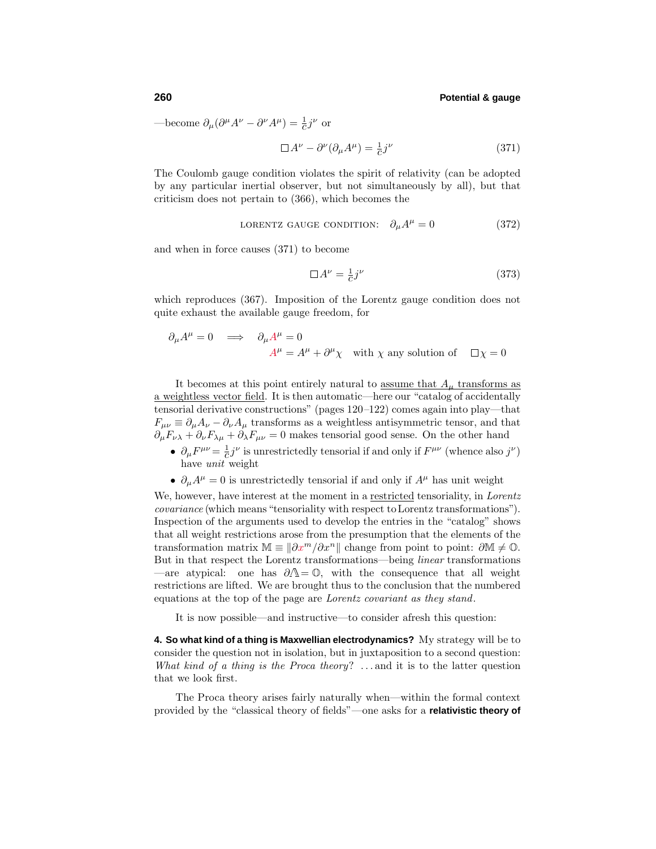—become  $\partial_{\mu}(\partial^{\mu}A^{\nu} - \partial^{\nu}A^{\mu}) = \frac{1}{c}j^{\nu}$  or

$$
\Box A^{\nu} - \partial^{\nu} (\partial_{\mu} A^{\mu}) = \frac{1}{c} j^{\nu}
$$
 (371)

The Coulomb gauge condition violates the spirit of relativity (can be adopted by any particular inertial observer, but not simultaneously by all), but that criticism does not pertain to (366), which becomes the

LORENTZ GAUGE CONDITION: 
$$
\partial_{\mu}A^{\mu} = 0
$$
 (372)

and when in force causes (371) to become

$$
\Box A^{\nu} = \frac{1}{c} j^{\nu} \tag{373}
$$

which reproduces (367). Imposition of the Lorentz gauge condition does not quite exhaust the available gauge freedom, for

$$
\partial_{\mu}A^{\mu} = 0 \implies \partial_{\mu}A^{\mu} = 0
$$
  

$$
A^{\mu} = A^{\mu} + \partial^{\mu}\chi \text{ with } \chi \text{ any solution of } \Box \chi = 0
$$

It becomes at this point entirely natural to <u>assume that  $A<sub>u</sub>$ </u> transforms as a weightless vector field. It is then automatic—here our "catalog of accidentally tensorial derivative constructions" (pages 120–122) comes again into play—that  $F_{\mu\nu} \equiv \partial_{\mu}A_{\nu} - \partial_{\nu}A_{\mu}$  transforms as a weightless antisymmetric tensor, and that  $\partial_{\mu}F_{\nu\lambda} + \partial_{\nu}F_{\lambda\mu} + \partial_{\lambda}F_{\mu\nu} = 0$  makes tensorial good sense. On the other hand

- $\partial_{\mu}F^{\mu\nu} = \frac{1}{c}j^{\nu}$  is unrestrictedly tensorial if and only if  $F^{\mu\nu}$  (whence also  $j^{\nu}$ ) have unit weight
- $\partial_{\mu}A^{\mu} = 0$  is unrestrictedly tensorial if and only if  $A^{\mu}$  has unit weight

We, however, have interest at the moment in a <u>restricted</u> tensoriality, in *Lorentz* covariance (which means"tensoriality with respect toLorentz transformations"). Inspection of the arguments used to develop the entries in the "catalog" shows that all weight restrictions arose from the presumption that the elements of the transformation matrix  $\mathbb{M} \equiv |\partial x^m / \partial x^n|$  change from point to point:  $\partial \mathbb{M} \neq \mathbb{O}$ . But in that respect the Lorentz transformations—being linear transformations —are atypical: one has  $\partial \Lambda = \mathbb{O}$ , with the consequence that all weight restrictions are lifted. We are brought thus to the conclusion that the numbered equations at the top of the page are Lorentz covariant as they stand.

It is now possible—and instructive—to consider afresh this question:

**4. So what kind of a thing is Maxwellian electrodynamics?** My strategy will be to consider the question not in isolation, but in juxtaposition to a second question: What kind of a thing is the Proca theory? ... and it is to the latter question that we look first.

The Proca theory arises fairly naturally when—within the formal context provided by the "classical theory of fields"—one asks for a **relativistic theory of**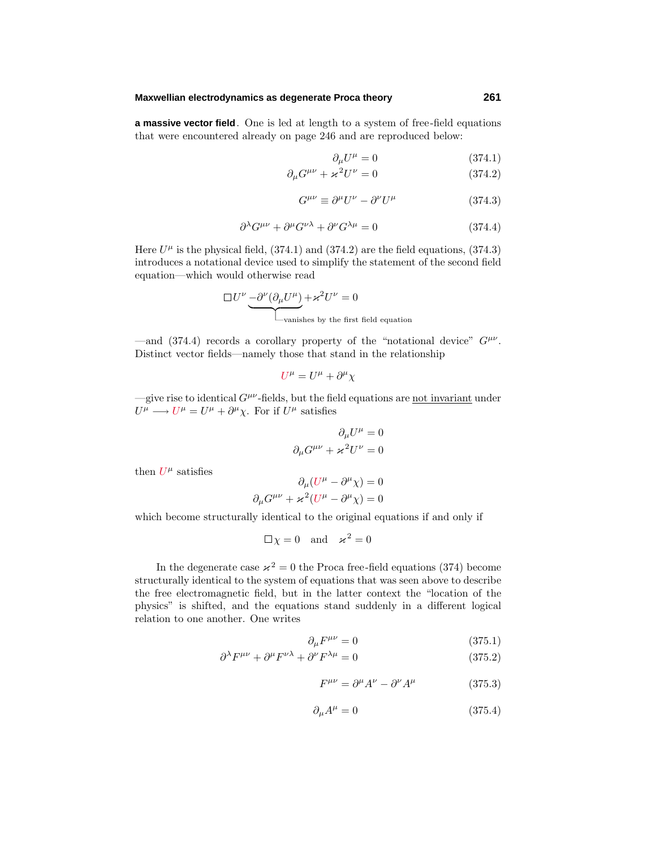#### **Maxwellian electrodynamics as degenerate Proca theory 261**

**a massive vector field**. One is led at length to a system of free-field equations that were encountered already on page 246 and are reproduced below:

$$
\partial_{\mu}U^{\mu} = 0 \tag{374.1}
$$

$$
\partial_{\mu}G^{\mu\nu} + \varkappa^2 U^{\nu} = 0 \qquad (374.2)
$$

$$
G^{\mu\nu} \equiv \partial^{\mu} U^{\nu} - \partial^{\nu} U^{\mu} \tag{374.3}
$$

$$
\partial^{\lambda}G^{\mu\nu} + \partial^{\mu}G^{\nu\lambda} + \partial^{\nu}G^{\lambda\mu} = 0 \tag{374.4}
$$

Here  $U^{\mu}$  is the physical field, (374.1) and (374.2) are the field equations, (374.3) introduces a notational device used to simplify the statement of the second field equation—which would otherwise read

$$
\Box U^{\nu} \underbrace{-\partial^{\nu}(\partial_{\mu}U^{\mu})}_{\text{vanishes by the first field equation}}
$$

—and (374.4) records a corollary property of the "notational device" *Gµν*. Distinct vector fields—namely those that stand in the relationship

$$
U^{\mu} = U^{\mu} + \partial^{\mu}\chi
$$

 $-\text{give rise to identical } G^{\mu\nu}$ -fields, but the field equations are <u>not invariant</u> under  $U^{\mu} \longrightarrow U^{\mu} = U^{\mu} + \partial^{\mu} \chi$ . For if  $U^{\mu}$  satisfies

$$
\partial_{\mu}U^{\mu} = 0
$$

$$
\partial_{\mu}G^{\mu\nu} + \varkappa^2 U^{\nu} = 0
$$

then  $U^{\mu}$  satisfies

$$
\partial_{\mu} (U^{\mu} - \partial^{\mu} \chi) = 0
$$

$$
\partial_{\mu} G^{\mu \nu} + \varkappa^{2} (U^{\mu} - \partial^{\mu} \chi) = 0
$$

which become structurally identical to the original equations if and only if

$$
\Box \chi = 0
$$
 and  $\varkappa^2 = 0$ 

In the degenerate case  $x^2 = 0$  the Proca free-field equations (374) become structurally identical to the system of equations that was seen above to describe the free electromagnetic field, but in the latter context the "location of the physics" is shifted, and the equations stand suddenly in a different logical relation to one another. One writes

$$
\partial_{\mu}F^{\mu\nu} = 0 \tag{375.1}
$$

$$
\partial^{\lambda} F^{\mu\nu} + \partial^{\mu} F^{\nu\lambda} + \partial^{\nu} F^{\lambda\mu} = 0 \tag{375.2}
$$

$$
F^{\mu\nu} = \partial^{\mu}A^{\nu} - \partial^{\nu}A^{\mu} \tag{375.3}
$$

$$
\partial_{\mu}A^{\mu} = 0 \tag{375.4}
$$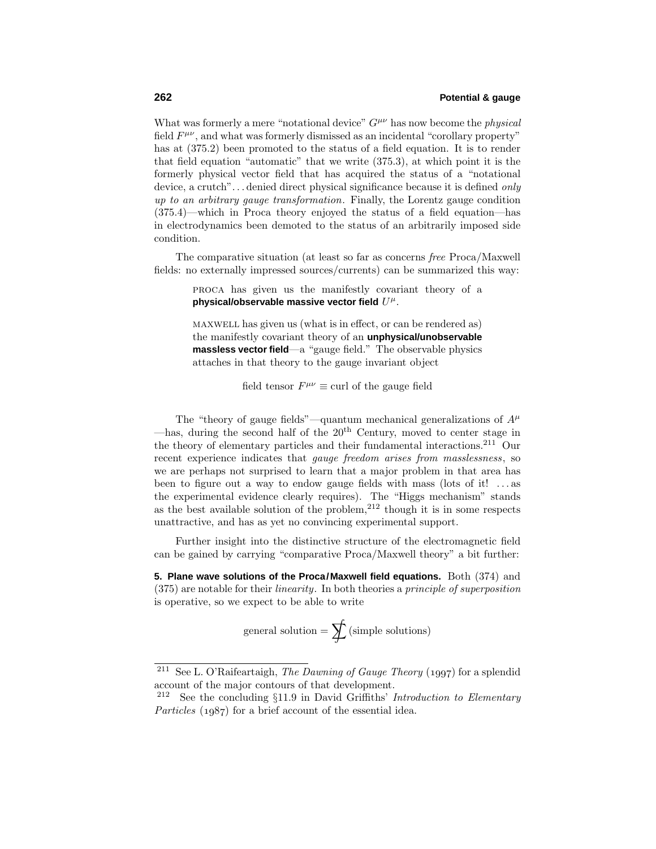What was formerly a mere "notational device"  $G^{\mu\nu}$  has now become the *physical* field  $F^{\mu\nu}$ , and what was formerly dismissed as an incidental "corollary property" has at (375.2) been promoted to the status of a field equation. It is to render that field equation "automatic" that we write (375.3), at which point it is the formerly physical vector field that has acquired the status of a "notational device, a crutch"*...* denied direct physical significance because it is defined only up to an arbitrary gauge transformation. Finally, the Lorentz gauge condition (375.4)—which in Proca theory enjoyed the status of a field equation—has in electrodynamics been demoted to the status of an arbitrarily imposed side condition.

The comparative situation (at least so far as concerns free Proca/Maxwell fields: no externally impressed sources/currents) can be summarized this way:

> proca has given us the manifestly covariant theory of a **physical/observable massive vector field** *U<sup>µ</sup>*.

> maxwell has given us (what is in effect, or can be rendered as) the manifestly covariant theory of an **unphysical/unobservable massless vector field**—a "gauge field." The observable physics attaches in that theory to the gauge invariant object

> > field tensor  $F^{\mu\nu} \equiv$  curl of the gauge field

The "theory of gauge fields"—quantum mechanical generalizations of  $A^{\mu}$ —has, during the second half of the  $20<sup>th</sup>$  Century, moved to center stage in the theory of elementary particles and their fundamental interactions.<sup>211</sup> Our recent experience indicates that *gauge freedom arises from masslessness*, so we are perhaps not surprised to learn that a major problem in that area has been to figure out a way to endow gauge fields with mass (lots of it! *...* as the experimental evidence clearly requires). The "Higgs mechanism" stands as the best available solution of the problem, $2^{12}$  though it is in some respects unattractive, and has as yet no convincing experimental support.

Further insight into the distinctive structure of the electromagnetic field can be gained by carrying "comparative Proca/Maxwell theory" a bit further:

**5. Plane wave solutions of the Proca/Maxwell field equations.** Both (374) and (375) are notable for their linearity. In both theories a principle of superposition is operative, so we expect to be able to write

$$
general solution = \sum f(simple solutions)
$$

<sup>&</sup>lt;sup>211</sup> See L. O'Raifeartaigh, *The Dawning of Gauge Theory* (1997) for a splendid account of the major contours of that development.

<sup>&</sup>lt;sup>212</sup> See the concluding  $\S11.9$  in David Griffiths' *Introduction to Elementary* Particles  $(1987)$  for a brief account of the essential idea.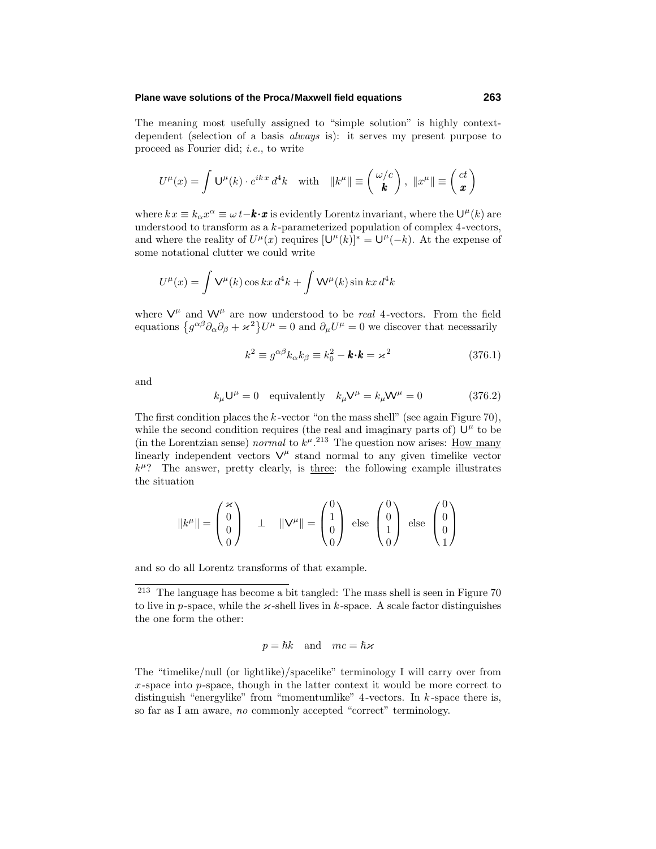#### **Plane wave solutions of the Proca/Maxwell field equations 263**

The meaning most usefully assigned to "simple solution" is highly contextdependent (selection of a basis *always* is): it serves my present purpose to proceed as Fourier did; i.e., to write

$$
U^{\mu}(x) = \int \mathsf{U}^{\mu}(k) \cdot e^{ikx} d^4k \quad \text{with} \quad ||k^{\mu}|| \equiv \begin{pmatrix} \omega/c \\ k \end{pmatrix}, \ ||x^{\mu}|| \equiv \begin{pmatrix} ct \\ \mathbf{x} \end{pmatrix}
$$

where  $kx \equiv k_{\alpha}x^{\alpha} \equiv \omega t - \mathbf{k} \cdot \mathbf{x}$  is evidently Lorentz invariant, where the  $\mathsf{U}^{\mu}(k)$  are understood to transform as a *k* -parameterized population of complex 4-vectors, and where the reality of  $U^{\mu}(x)$  requires  $[\mathsf{U}^{\mu}(k)]^* = \mathsf{U}^{\mu}(-k)$ . At the expense of some notational clutter we could write

$$
U^{\mu}(x) = \int \mathsf{V}^{\mu}(k) \cos kx \, d^4k + \int \mathsf{W}^{\mu}(k) \sin kx \, d^4k
$$

where  $V^{\mu}$  and  $W^{\mu}$  are now understood to be *real* 4-vectors. From the field equations  $\{g^{\alpha\beta}\partial_\alpha\partial_\beta + \varkappa^2\}U^\mu = 0$  and  $\partial_\mu U^\mu = 0$  we discover that necessarily

$$
k^2 \equiv g^{\alpha\beta} k_\alpha k_\beta \equiv k_0^2 - \mathbf{k} \cdot \mathbf{k} = \varkappa^2 \tag{376.1}
$$

and

$$
k_{\mu}U^{\mu} = 0 \quad \text{equivalently} \quad k_{\mu}V^{\mu} = k_{\mu}W^{\mu} = 0 \tag{376.2}
$$

The first condition places the *k* -vector "on the mass shell" (see again Figure 70), while the second condition requires (the real and imaginary parts of)  $U^{\mu}$  to be (in the Lorentzian sense) normal to  $k^{\mu}$ .<sup>213</sup> The question now arises: <u>How many</u> linearly independent vectors  $V^{\mu}$  stand normal to any given timelike vector  $k^{\mu}$ ? The answer, pretty clearly, is three: the following example illustrates the situation

$$
||k^{\mu}|| = \begin{pmatrix} \varkappa \\ 0 \\ 0 \\ 0 \end{pmatrix} \quad \perp \quad ||\mathbf{V}^{\mu}|| = \begin{pmatrix} 0 \\ 1 \\ 0 \\ 0 \end{pmatrix} \text{ else } \begin{pmatrix} 0 \\ 0 \\ 1 \\ 0 \end{pmatrix} \text{ else } \begin{pmatrix} 0 \\ 0 \\ 0 \\ 1 \end{pmatrix}
$$

and so do all Lorentz transforms of that example.

<sup>213</sup> The language has become a bit tangled: The mass shell is seen in Figure 70 to live in *p*-space, while the  $\varkappa$ -shell lives in *k*-space. A scale factor distinguishes the one form the other:

$$
p=\hbar k \quad \text{and} \quad mc=\hbar\varkappa
$$

The "timelike/null (or lightlike)/spacelike" terminology I will carry over from *x*-space into *p*-space, though in the latter context it would be more correct to distinguish "energylike" from "momentumlike"  $4$ -vectors. In  $k$ -space there is, so far as I am aware, no commonly accepted "correct" terminology.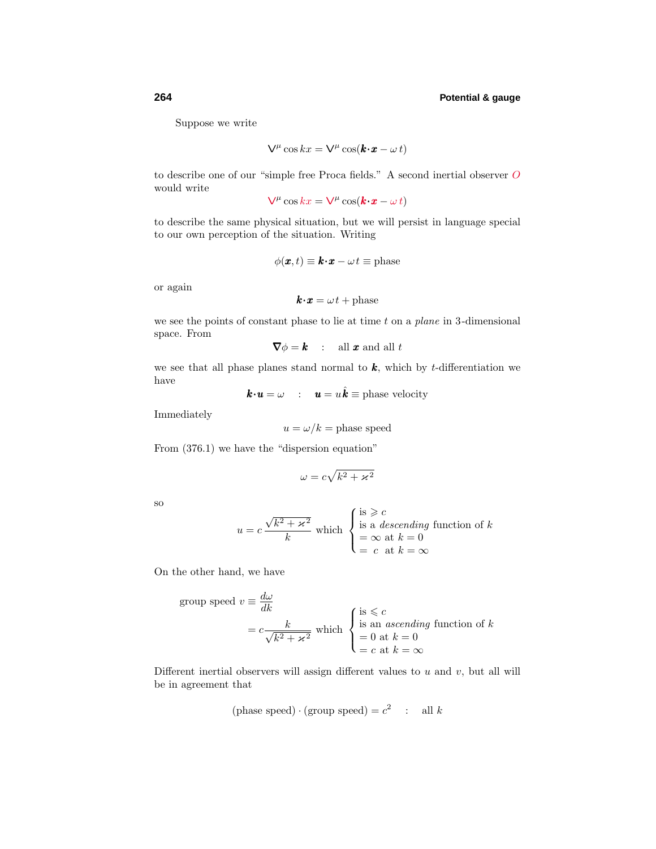Suppose we write

$$
\nabla^{\mu}\cos kx = \nabla^{\mu}\cos(\mathbf{k}\cdot\mathbf{x} - \omega t)
$$

to describe one of our "simple free Proca fields." A second inertial observer *O* would write

 $V^{\mu}$  cos  $kx = V^{\mu}$  cos( $\mathbf{k} \cdot \mathbf{x} - \omega t$ )

to describe the same physical situation, but we will persist in language special to our own perception of the situation. Writing

$$
\phi(\pmb{x},t) \equiv \pmb{k} \cdot \pmb{x} - \omega t \equiv \text{phase}
$$

or again

$$
\boldsymbol{k}{\boldsymbol{\cdot}}\boldsymbol{x} = \omega\,t + \text{phase}
$$

we see the points of constant phase to lie at time *t* on a plane in 3-dimensional space. From

$$
\nabla \phi = \mathbf{k} \quad : \quad \text{all } \mathbf{x} \text{ and all } t
$$

we see that all phase planes stand normal to *k*, which by *t*-differentiation we have

$$
\mathbf{k} \cdot \mathbf{u} = \omega \quad : \quad \mathbf{u} = u \hat{\mathbf{k}} \equiv \text{phase velocity}
$$

Immediately

$$
u = \omega/k
$$
 = phase speed

From (376.1) we have the "dispersion equation"

$$
\omega = c\sqrt{k^2 + \varkappa^2}
$$

so

$$
u = c \frac{\sqrt{k^2 + \varkappa^2}}{k}
$$
 which 
$$
\begin{cases} \text{is } \geqslant c \\ \text{is a descending function of } k \\ = \infty \text{ at } k = 0 \\ = c \text{ at } k = \infty \end{cases}
$$

On the other hand, we have

group speed 
$$
v = \frac{d\omega}{dk}
$$
  
\n
$$
= c \frac{k}{\sqrt{k^2 + \varkappa^2}}
$$
 which  $\begin{cases} \text{is } \leq c \\ \text{is an ascending function of } k \\ = 0 \text{ at } k = 0 \\ = c \text{ at } k = \infty \end{cases}$ 

Different inertial observers will assign different values to *u* and *v*, but all will be in agreement that

$$
(\text{phase speed}) \cdot (\text{group speed}) = c^2 \quad : \quad \text{all } k
$$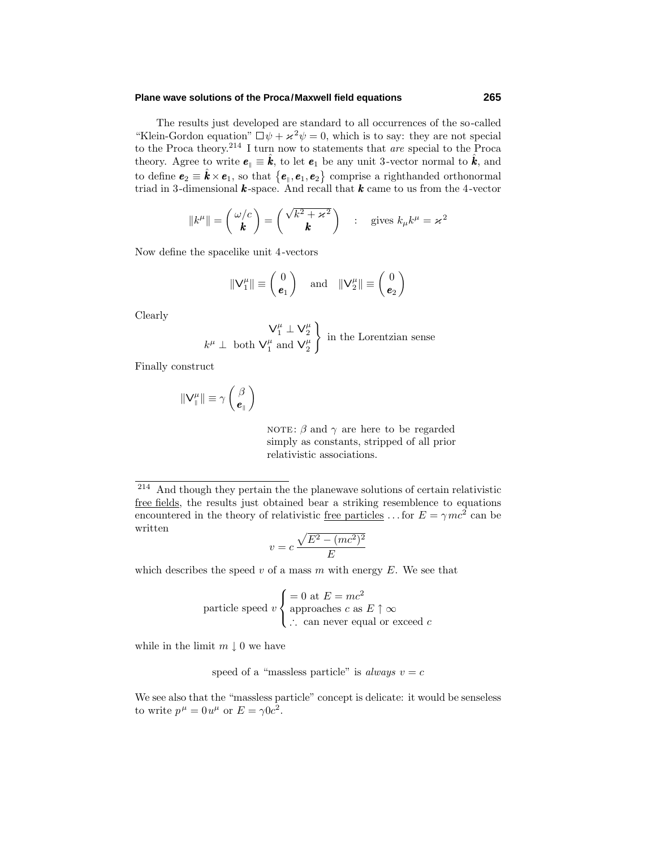#### **Plane wave solutions of the Proca/Maxwell field equations 265**

The results just developed are standard to all occurrences of the so-called "Klein-Gordon equation"  $\Box \psi + \varkappa^2 \psi = 0$ , which is to say: they are not special to the Proca theory.<sup>214</sup> I turn now to statements that *are* special to the Proca theory. Agree to write  $e_{\parallel} \equiv \hat{k}$ , to let  $e_1$  be any unit 3-vector normal to  $\hat{k}$ , and to define  $e_2 \equiv \hat{k} \times e_1$ , so that  $\{e_{\parallel}, e_1, e_2\}$  comprise a righthanded orthonormal triad in 3-dimensional *k* -space. And recall that *k* came to us from the 4-vector

$$
||k^{\mu}|| = \begin{pmatrix} \omega/c \\ \mathbf{k} \end{pmatrix} = \begin{pmatrix} \sqrt{k^2 + \varkappa^2} \\ \mathbf{k} \end{pmatrix} : \text{ gives } k_{\mu}k^{\mu} = \varkappa^2
$$

Now define the spacelike unit 4-vectors

$$
\|\mathsf{V}_1^{\mu}\| \equiv \begin{pmatrix} 0 \\ \mathbf{e}_1 \end{pmatrix} \quad \text{and} \quad \|\mathsf{V}_2^{\mu}\| \equiv \begin{pmatrix} 0 \\ \mathbf{e}_2 \end{pmatrix}
$$

Clearly

$$
\begin{array}{c}\n\mathsf{V}_1^{\mu} \perp \mathsf{V}_2^{\mu} \\
k^{\mu} \perp \text{ both } \mathsf{V}_1^{\mu} \text{ and } \mathsf{V}_2^{\mu}\n\end{array}
$$
 in the Lorentzian sense

Finally construct

$$
\|\mathbf{V}^{\mu}_{\parallel}\| \equiv \gamma \left(\frac{\beta}{\boldsymbol{e}_{\parallel}}\right)
$$

NOTE:  $\beta$  and  $\gamma$  are here to be regarded simply as constants, stripped of all prior relativistic associations.

<sup>214</sup> And though they pertain the the planewave solutions of certain relativistic free fields, the results just obtained bear a striking resemblence to equations encountered in the theory of relativistic free particles ... for  $E = \gamma mc^2$  can be written

$$
v = c \frac{\sqrt{E^2 - (mc^2)^2}}{E}
$$

which describes the speed  $v$  of a mass  $m$  with energy  $E$ . We see that

$$
particle speed \t v \begin{cases} = 0 \t at \t E = mc^2 \\ \text{approaches } c \t as \t E \uparrow \infty \\ \therefore \text{ can never equal or exceed } c \end{cases}
$$

while in the limit  $m \downarrow 0$  we have

speed of a "massless particle" is always 
$$
v = c
$$

We see also that the "massless particle" concept is delicate: it would be senseless to write  $p^{\mu} = 0 u^{\mu}$  or  $E = \gamma 0 c^2$ .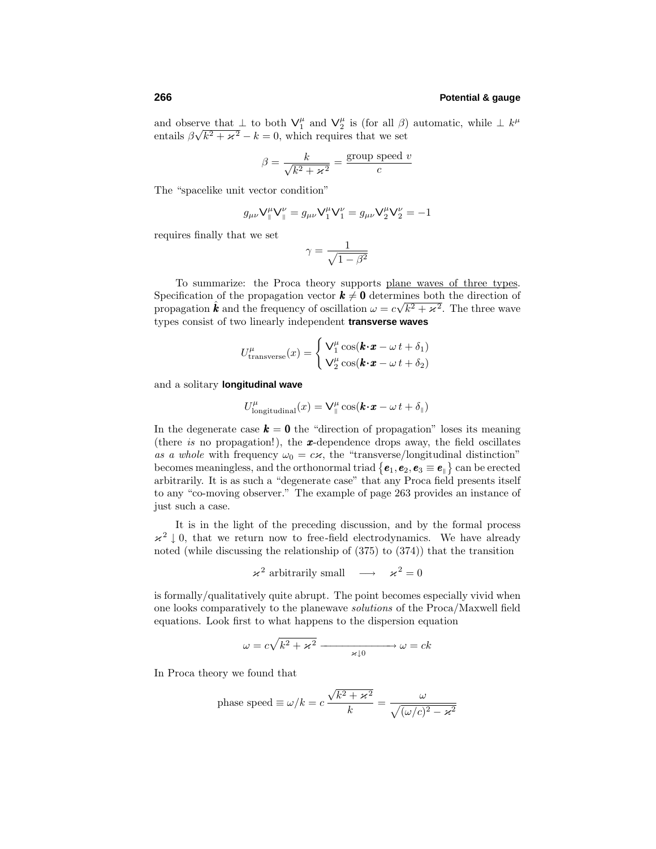and observe that  $\perp$  to both  $V_1^{\mu}$  and  $V_2^{\mu}$  is (for all *β*) automatic, while  $\perp$   $k^{\mu}$ entails  $\beta \sqrt{k^2 + \varkappa^2} - k = 0$ , which requires that we set

$$
\beta = \frac{k}{\sqrt{k^2 + \varkappa^2}} = \frac{\text{group speed } v}{c}
$$

The "spacelike unit vector condition"

$$
g_{\mu\nu}\nabla_\parallel^\mu\nabla_\parallel^\nu=g_{\mu\nu}\nabla_1^\mu\nabla_1^\nu=g_{\mu\nu}\nabla_2^\mu\nabla_2^\nu=-1
$$

requires finally that we set

$$
\gamma = \frac{1}{\sqrt{1 - \beta^2}}
$$

To summarize: the Proca theory supports plane waves of three types. Specification of the propagation vector  $k \neq 0$  determines both the direction of propagation  $\hat{k}$  and the frequency of oscillation  $\omega = c\sqrt{k^2 + \varkappa^2}$ . The three wave types consist of two linearly independent **transverse waves**

$$
U_{\text{transverse}}^{\mu}(x) = \begin{cases} \nabla_1^{\mu} \cos(\mathbf{k} \cdot \mathbf{x} - \omega \, t + \delta_1) \\ \nabla_2^{\mu} \cos(\mathbf{k} \cdot \mathbf{x} - \omega \, t + \delta_2) \end{cases}
$$

and a solitary **longitudinal wave**

$$
U_{\text{longitudinal}}^{\mu}(x) = \mathsf{V}_{\parallel}^{\mu}\cos(\pmb{k}{\boldsymbol{\cdot}}\pmb{x}-\omega\,t+\delta_{\parallel})
$$

In the degenerate case  $\boldsymbol{k} = \boldsymbol{0}$  the "direction of propagation" loses its meaning (there is no propagation!), the *x*-dependence drops away, the field oscillates as a whole with frequency  $\omega_0 = c\kappa$ , the "transverse/longitudinal distinction" becomes meaningless, and the orthonormal triad  $\{e_1, e_2, e_3 \equiv e_{\parallel}\}\)$  can be erected arbitrarily. It is as such a "degenerate case" that any Proca field presents itself to any "co-moving observer." The example of page 263 provides an instance of just such a case.

It is in the light of the preceding discussion, and by the formal process  $x^2 \perp 0$ , that we return now to free-field electrodynamics. We have already noted (while discussing the relationship of (375) to (374)) that the transition

 $\varkappa^2$  arbitrarily small  $\longrightarrow \varkappa^2 = 0$ 

is formally/qualitatively quite abrupt. The point becomes especially vivid when one looks comparatively to the planewave solutions of the Proca/Maxwell field equations. Look first to what happens to the dispersion equation

$$
\omega = c\sqrt{k^2 + \varkappa^2} \xrightarrow{\varkappa \downarrow 0} \omega = ck
$$

In Proca theory we found that

phase speed 
$$
\equiv \omega/k = c \frac{\sqrt{k^2 + \varkappa^2}}{k} = \frac{\omega}{\sqrt{(\omega/c)^2 - \varkappa^2}}
$$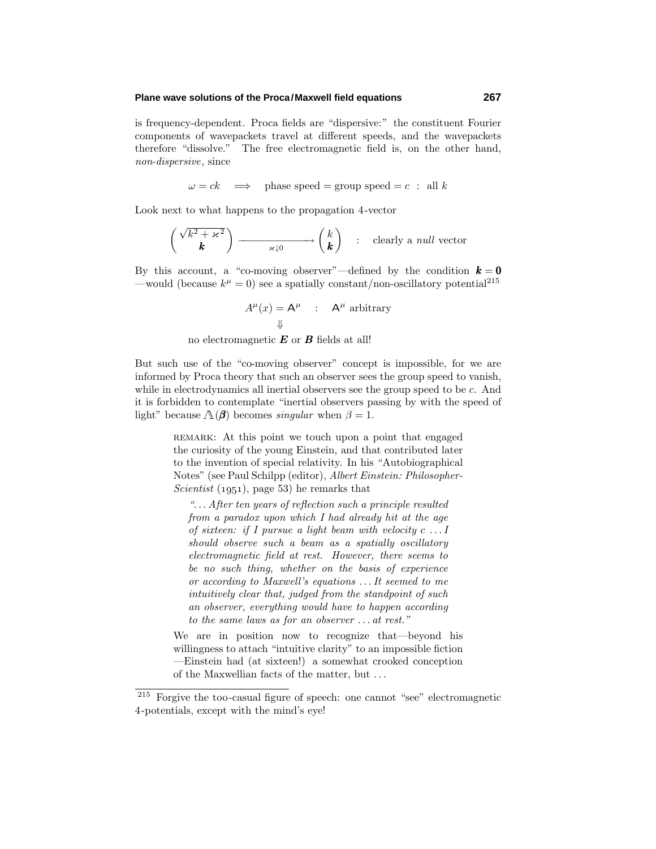#### **Plane wave solutions of the Proca/Maxwell field equations 267**

is frequency-dependent. Proca fields are "dispersive:" the constituent Fourier components of wavepackets travel at different speeds, and the wavepackets therefore "dissolve." The free electromagnetic field is, on the other hand, non-dispersive, since

$$
\omega = ck \implies \text{phase speed} = \text{group speed} = c : \text{ all } k
$$

Look next to what happens to the propagation 4-vector

$$
\begin{pmatrix}\n\sqrt{k^2 + \varkappa^2} & & \\
\mathbf{k} & & \\
\end{pmatrix} \longrightarrow \begin{pmatrix} k \\ k \end{pmatrix} \quad : \quad \text{clearly a } \textit{null} \text{ vector}
$$

By this account, a "co-moving observer"—defined by the condition  $\mathbf{k} = \mathbf{0}$ —would (because  $k^{\mu} = 0$ ) see a spatially constant/non-oscillatory potential<sup>215</sup>

$$
A^{\mu}(x) = A^{\mu} : A^{\mu} \text{ arbitrary}
$$
  

$$
\downarrow
$$

no electromagnetic *E* or *B* fields at all!

But such use of the "co-moving observer" concept is impossible, for we are informed by Proca theory that such an observer sees the group speed to vanish, while in electrodynamics all inertial observers see the group speed to be *c*. And it is forbidden to contemplate "inertial observers passing by with the speed of light" because  $\Lambda(\beta)$  becomes *singular* when  $\beta = 1$ .

> remark: At this point we touch upon a point that engaged the curiosity of the young Einstein, and that contributed later to the invention of special relativity. In his "Autobiographical Notes" (see Paul Schilpp (editor), Albert Einstein: Philosopher-Scientist  $(1951)$ , page 53) he remarks that

"*...* After ten years of reflection such a principle resulted from a paradox upon which  $I$  had already hit at the age of sixteen: if Ipursue a light beam with velocity *c ...*I should observe such a beam as a spatially oscillatory electromagnetic field at rest. However, there seems to be no such thing, whether on the basis of experience or according to Maxwell's equations  $\dots$  It seemed to me intuitively clear that, judged from the standpoint of such an observer, everything would have to happen according to the same laws as for an observer *...* at rest."

We are in position now to recognize that—beyond his willingness to attach "intuitive clarity" to an impossible fiction —Einstein had (at sixteen!) a somewhat crooked conception of the Maxwellian facts of the matter, but *...*

<sup>215</sup> Forgive the too-casual figure of speech: one cannot "see" electromagnetic 4-potentials, except with the mind's eye!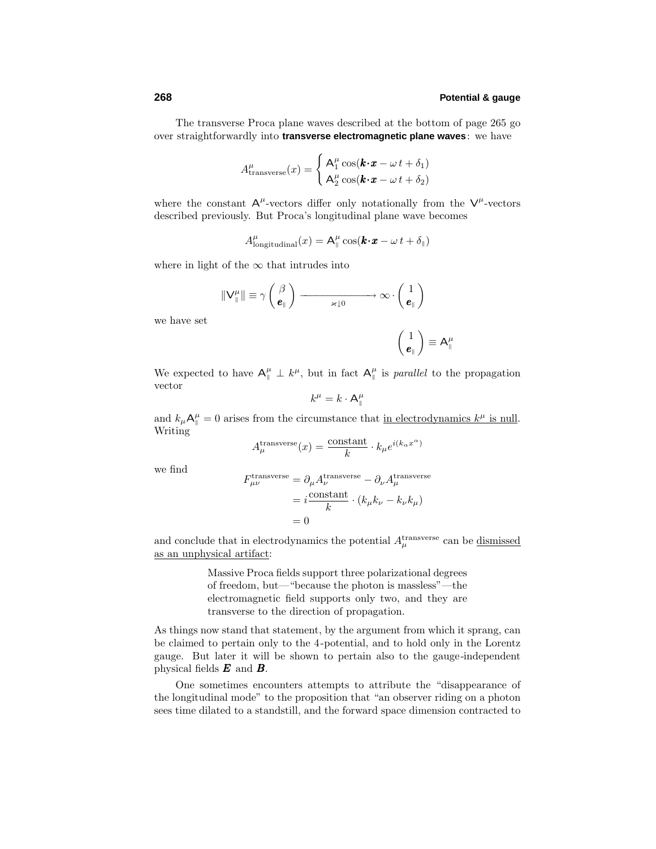The transverse Proca plane waves described at the bottom of page 265 go over straightforwardly into **transverse electromagnetic plane waves**: we have

$$
A_{\text{transverse}}^{\mu}(x) = \begin{cases} \mathbf{A}_1^{\mu} \cos(\mathbf{k} \cdot \mathbf{x} - \omega \, t + \delta_1) \\ \mathbf{A}_2^{\mu} \cos(\mathbf{k} \cdot \mathbf{x} - \omega \, t + \delta_2) \end{cases}
$$

where the constant  $A^{\mu}$ -vectors differ only notationally from the  $V^{\mu}$ -vectors described previously. But Proca's longitudinal plane wave becomes

$$
A_{\text{longitudinal}}^{\mu}(x) = \mathsf{A}_{\parallel}^{\mu} \cos(\mathbf{k} \cdot \mathbf{x} - \omega \, t + \delta_{\parallel})
$$

where in light of the  $\infty$  that intrudes into

$$
\|\mathbf{V}_{\parallel}^{\mu}\| \equiv \gamma \left(\frac{\beta}{\boldsymbol{e}_{\parallel}}\right) \longrightarrow \infty \cdot \left(\frac{1}{\boldsymbol{e}_{\parallel}}\right)
$$

we have set

$$
\left(\begin{array}{c} 1 \\ \pmb{e}_\parallel \end{array}\right) \equiv \mathsf{A}_\parallel^\mu
$$

We expected to have  $A^{\mu}_{\parallel} \perp k^{\mu}$ , but in fact  $A^{\mu}_{\parallel}$  is *parallel* to the propagation vector

$$
k^\mu = k \cdot \mathsf{A}_\parallel^\mu
$$

and  $k_{\mu}A_{\parallel}^{\mu} = 0$  arises from the circumstance that <u>in electrodynamics  $k^{\mu}$  is null</u>. Writing

$$
A_{\mu}^{\text{transverse}}(x) = \frac{\text{constant}}{k} \cdot k_{\mu} e^{i(k_{\alpha}x^{\alpha})}
$$

we find

$$
F^{\text{transverse}}_{\mu\nu} = \partial_{\mu} A^{\text{transverse}}_{\nu} - \partial_{\nu} A^{\text{transverse}}_{\mu}
$$

$$
= i \frac{\text{constant}}{k} \cdot (k_{\mu} k_{\nu} - k_{\nu} k_{\mu})
$$

$$
= 0
$$

and conclude that in electrodynamics the potential  $A_\mu^{\text{transverse}}$  can be <u>dismissed</u> as an unphysical artifact:

> Massive Proca fields support three polarizational degrees of freedom, but—"because the photon is massless"—the electromagnetic field supports only two, and they are transverse to the direction of propagation.

As things now stand that statement, by the argument from which it sprang, can be claimed to pertain only to the 4-potential, and to hold only in the Lorentz gauge. But later it will be shown to pertain also to the gauge-independent physical fields *E* and *B*.

One sometimes encounters attempts to attribute the "disappearance of the longitudinal mode" to the proposition that "an observer riding on a photon sees time dilated to a standstill, and the forward space dimension contracted to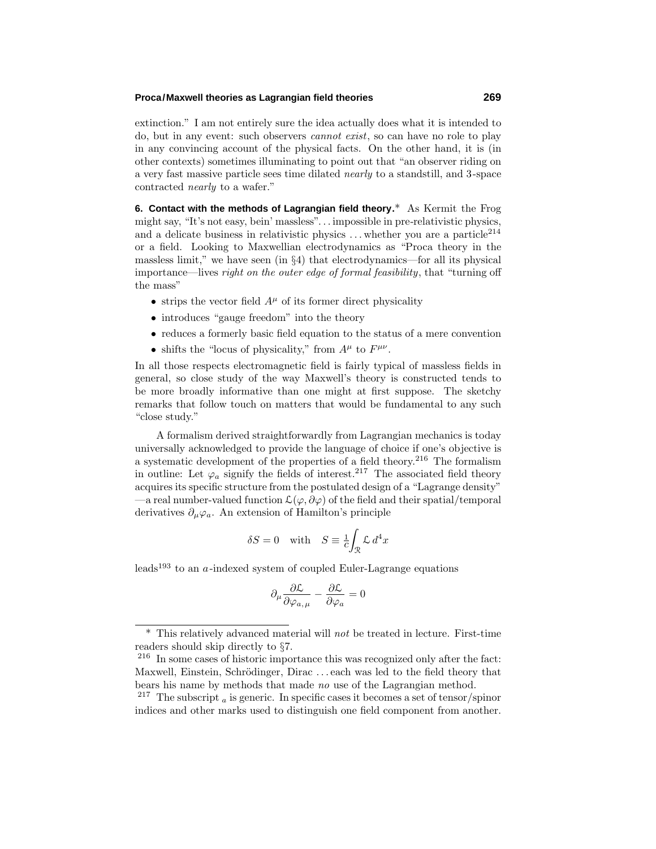#### **Proca/Maxwell theories as Lagrangian field theories 269**

extinction." I am not entirely sure the idea actually does what it is intended to do, but in any event: such observers cannot exist, so can have no role to play in any convincing account of the physical facts. On the other hand, it is (in other contexts) sometimes illuminating to point out that "an observer riding on a very fast massive particle sees time dilated nearly to a standstill, and 3-space contracted nearly to a wafer."

**6. Contact with the methods of Lagrangian field theory.**\* As Kermit the Frog might say, "It's not easy, bein' massless"*...* impossible in pre-relativistic physics, and a delicate business in relativistic physics  $\dots$  whether you are a particle<sup>214</sup> or a field. Looking to Maxwellian electrodynamics as "Proca theory in the massless limit," we have seen (in  $\S4$ ) that electrodynamics—for all its physical importance—lives right on the outer edge of formal feasibility, that "turning off the mass"

- strips the vector field  $A^{\mu}$  of its former direct physicality
- introduces "gauge freedom" into the theory
- reduces a formerly basic field equation to the status of a mere convention
- shifts the "locus of physicality," from  $A^{\mu}$  to  $F^{\mu\nu}$ .

In all those respects electromagnetic field is fairly typical of massless fields in general, so close study of the way Maxwell's theory is constructed tends to be more broadly informative than one might at first suppose. The sketchy remarks that follow touch on matters that would be fundamental to any such "close study."

A formalism derived straightforwardly from Lagrangian mechanics is today universally acknowledged to provide the language of choice if one's objective is a systematic development of the properties of a field theory.<sup>216</sup> The formalism in outline: Let  $\varphi_a$  signify the fields of interest.<sup>217</sup> The associated field theory acquires its specific structure from the postulated design of a "Lagrange density" —a real number-valued function  $\mathcal{L}(\varphi,\partial\varphi)$  of the field and their spatial/temporal derivatives  $\partial_{\mu}\varphi_{a}$ . An extension of Hamilton's principle

$$
\delta S = 0 \quad \text{with} \quad S \equiv \frac{1}{c} \int_{\mathcal{R}} \mathcal{L} \, d^4 x
$$

leads<sup>193</sup> to an *a*-indexed system of coupled Euler-Lagrange equations

$$
\partial_{\mu} \frac{\partial \mathcal{L}}{\partial \varphi_{a,\mu}} - \frac{\partial \mathcal{L}}{\partial \varphi_{a}} = 0
$$

<sup>\*</sup> This relatively advanced material will not be treated in lecture. First-time readers should skip directly to §7.

<sup>216</sup> In some cases of historic importance this was recognized only after the fact: Maxwell, Einstein, Schrödinger, Dirac ... each was led to the field theory that bears his name by methods that made no use of the Lagrangian method.

<sup>&</sup>lt;sup>217</sup> The subscript  $\alpha$  is generic. In specific cases it becomes a set of tensor/spinor indices and other marks used to distinguish one field component from another.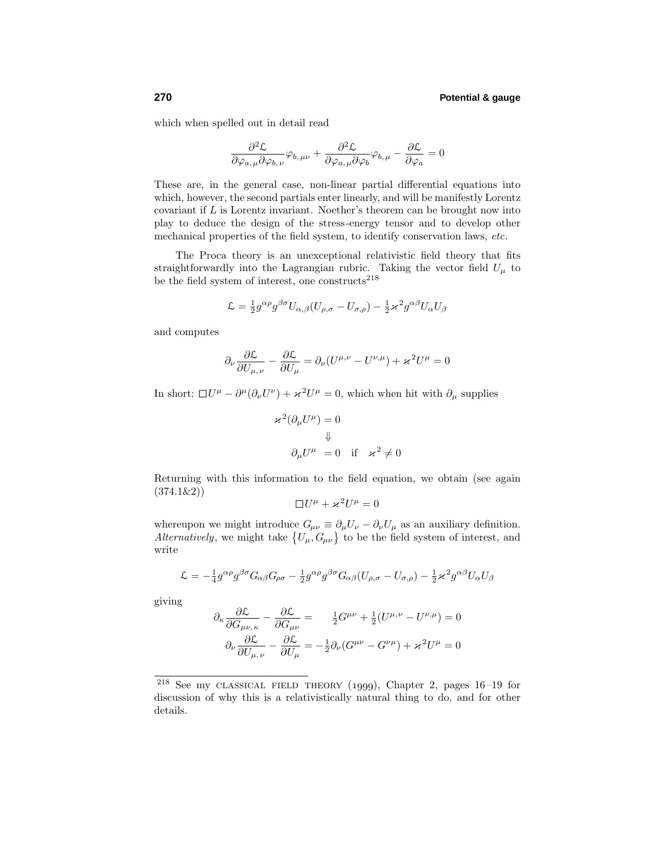which when spelled out in detail read

$$
\frac{\partial^2 \mathcal{L}}{\partial \varphi_{a,\mu} \partial \varphi_{b,\nu}} \varphi_{b,\mu\nu} + \frac{\partial^2 \mathcal{L}}{\partial \varphi_{a,\mu} \partial \varphi_b} \varphi_{b,\mu} - \frac{\partial \mathcal{L}}{\partial \varphi_a} = 0
$$

These are, in the general case, non-linear partial differential equations into which, however, the second partials enter linearly, and will be manifestly Lorentz covariant if *L* is Lorentz invariant. Noether's theorem can be brought now into play to deduce the design of the stress-energy tensor and to develop other mechanical properties of the field system, to identify conservation laws, etc.

The Proca theory is an unexceptional relativistic field theory that fits straightforwardly into the Lagrangian rubric. Taking the vector field  $U_{\mu}$  to be the field system of interest, one constructs  $218$ 

$$
\mathcal{L} = \frac{1}{2} g^{\alpha \rho} g^{\beta \sigma} U_{\alpha,\beta} (U_{\rho,\sigma} - U_{\sigma,\rho}) - \frac{1}{2} \varkappa^2 g^{\alpha \beta} U_{\alpha} U_{\beta}
$$

and computes

$$
\partial_{\nu} \frac{\partial \mathcal{L}}{\partial U_{\mu,\nu}} - \frac{\partial \mathcal{L}}{\partial U_{\mu}} = \partial_{\nu} (U^{\mu,\nu} - U^{\nu,\mu}) + \varkappa^2 U^{\mu} = 0
$$

In short:  $\Box U^{\mu} - \partial^{\mu}(\partial_{\nu}U^{\nu}) + \varkappa^2 U^{\mu} = 0$ , which when hit with  $\partial_{\mu}$  supplies

$$
\begin{aligned} \varkappa^2(\partial_\mu U^\mu) &= 0 \\ \Downarrow \\ \partial_\mu U^\mu &= 0 \quad \text{if} \quad \varkappa^2 \neq 0 \end{aligned}
$$

Returning with this information to the field equation, we obtain (see again (374.1&2))

$$
\Box U^{\mu} + \varkappa^2 U^{\mu} = 0
$$

whereupon we might introduce  $G_{\mu\nu} \equiv \partial_{\mu}U_{\nu} - \partial_{\nu}U_{\mu}$  as an auxiliary definition. Alternatively, we might take  $\{U_{\mu}, G_{\mu\nu}\}\$  to be the field system of interest, and write

$$
\mathcal{L} = -\frac{1}{4}g^{\alpha\rho}g^{\beta\sigma}G_{\alpha\beta}G_{\rho\sigma} - \frac{1}{2}g^{\alpha\rho}g^{\beta\sigma}G_{\alpha\beta}(U_{\rho,\sigma} - U_{\sigma,\rho}) - \frac{1}{2}\varkappa^2g^{\alpha\beta}U_{\alpha}U_{\beta}
$$

giving

$$
\partial_{\kappa} \frac{\partial \mathcal{L}}{\partial G_{\mu\nu,\kappa}} - \frac{\partial \mathcal{L}}{\partial G_{\mu\nu}} = \frac{1}{2} G^{\mu\nu} + \frac{1}{2} (U^{\mu,\nu} - U^{\nu,\mu}) = 0
$$

$$
\partial_{\nu} \frac{\partial \mathcal{L}}{\partial U_{\mu,\nu}} - \frac{\partial \mathcal{L}}{\partial U_{\mu}} = -\frac{1}{2} \partial_{\nu} (G^{\mu\nu} - G^{\nu\mu}) + \varkappa^2 U^{\mu} = 0
$$

<sup>&</sup>lt;sup>218</sup> See my CLASSICAL FIELD THEORY (1999), Chapter 2, pages  $16-19$  for discussion of why this is a relativistically natural thing to do, and for other details.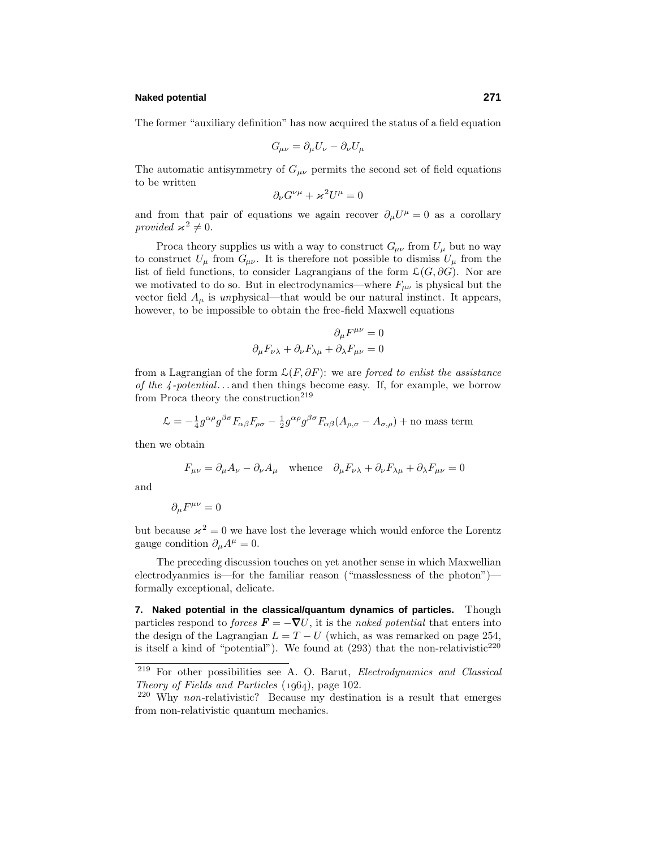#### **Naked potential 271**

The former "auxiliary definition" has now acquired the status of a field equation

$$
G_{\mu\nu} = \partial_{\mu} U_{\nu} - \partial_{\nu} U_{\mu}
$$

The automatic antisymmetry of  $G_{\mu\nu}$  permits the second set of field equations to be written

$$
\partial_{\nu}G^{\nu\mu} + \varkappa^2 U^{\mu} = 0
$$

and from that pair of equations we again recover  $\partial_{\mu}U^{\mu} = 0$  as a corollary provided  $\varkappa^2 \neq 0$ .

Proca theory supplies us with a way to construct  $G_{\mu\nu}$  from  $U_{\mu}$  but no way to construct  $U_{\mu}$  from  $G_{\mu\nu}$ . It is therefore not possible to dismiss  $U_{\mu}$  from the list of field functions, to consider Lagrangians of the form  $\mathcal{L}(G, \partial G)$ . Nor are we motivated to do so. But in electrodynamics—where  $F_{\mu\nu}$  is physical but the vector field  $A_\mu$  is unphysical—that would be our natural instinct. It appears, however, to be impossible to obtain the free-field Maxwell equations

$$
\partial_{\mu}F^{\mu\nu} = 0
$$
  

$$
\partial_{\mu}F_{\nu\lambda} + \partial_{\nu}F_{\lambda\mu} + \partial_{\lambda}F_{\mu\nu} = 0
$$

from a Lagrangian of the form  $\mathcal{L}(F, \partial F)$ : we are forced to enlist the assistance of the 4 -potential*...* and then things become easy.If, for example, we borrow from Proca theory the construction<sup>219</sup>

$$
\mathcal{L} = -\frac{1}{4}g^{\alpha\rho}g^{\beta\sigma}F_{\alpha\beta}F_{\rho\sigma} - \frac{1}{2}g^{\alpha\rho}g^{\beta\sigma}F_{\alpha\beta}(A_{\rho,\sigma} - A_{\sigma,\rho}) + \text{no mass term}
$$

then we obtain

$$
F_{\mu\nu} = \partial_{\mu}A_{\nu} - \partial_{\nu}A_{\mu} \quad \text{whence} \quad \partial_{\mu}F_{\nu\lambda} + \partial_{\nu}F_{\lambda\mu} + \partial_{\lambda}F_{\mu\nu} = 0
$$

and

$$
\partial_{\mu}F^{\mu\nu}=0
$$

but because  $x^2 = 0$  we have lost the leverage which would enforce the Lorentz gauge condition  $\partial_{\mu}A^{\mu} = 0$ .

The preceding discussion touches on yet another sense in which Maxwellian electrodyanmics is—for the familiar reason ("masslessness of the photon") formally exceptional, delicate.

**7. Naked potential in the classical/quantum dynamics of particles.** Though particles respond to *forces*  $\mathbf{F} = -\nabla U$ , it is the *naked potential* that enters into the design of the Lagrangian  $L = T - U$  (which, as was remarked on page 254, is itself a kind of "potential"). We found at  $(293)$  that the non-relativistic<sup>220</sup>

<sup>219</sup> For other possibilities see A.O.Barut, Electrodynamics and Classical Theory of Fields and Particles  $(1964)$ , page 102.

<sup>220</sup> Why non-relativistic? Because my destination is a result that emerges from non-relativistic quantum mechanics.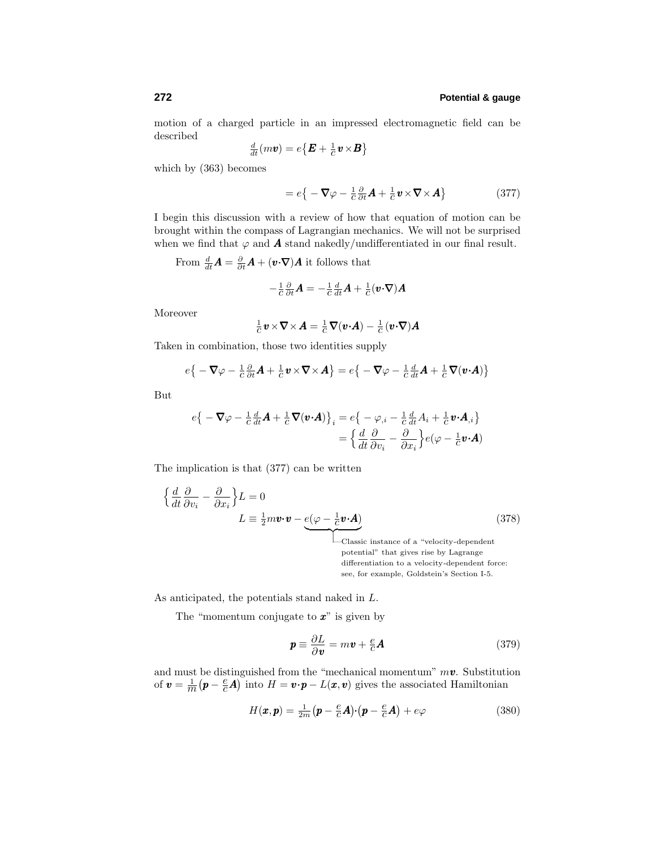motion of a charged particle in an impressed electromagnetic field can be described

$$
\frac{d}{dt}(m\boldsymbol{v}) = e\big\{\boldsymbol{E} + \frac{1}{C}\boldsymbol{v} \times \boldsymbol{B}\big\}
$$

which by (363) becomes

$$
= e\{-\nabla \varphi - \frac{1}{c}\frac{\partial}{\partial t}\mathbf{A} + \frac{1}{c}\mathbf{v} \times \nabla \times \mathbf{A}\}\tag{377}
$$

I begin this discussion with a review of how that equation of motion can be brought within the compass of Lagrangian mechanics.We will not be surprised when we find that  $\varphi$  and **A** stand nakedly/undifferentiated in our final result.

From 
$$
\frac{d}{dt}\mathbf{A} = \frac{\partial}{\partial t}\mathbf{A} + (\mathbf{v} \cdot \nabla)\mathbf{A}
$$
 it follows that

$$
-\frac{1}{c}\frac{\partial}{\partial t}\boldsymbol{A}=-\frac{1}{c}\frac{d}{dt}\boldsymbol{A}+\frac{1}{c}(\boldsymbol{v}\boldsymbol{\cdot}\boldsymbol{\nabla})\boldsymbol{A}
$$

Moreover

$$
\frac{1}{c} \mathbf{v} \times \nabla \times \mathbf{A} = \frac{1}{c} \nabla(\mathbf{v} \cdot \mathbf{A}) - \frac{1}{c} (\mathbf{v} \cdot \nabla) \mathbf{A}
$$

Taken in combination, those two identities supply

$$
e\big\{-\nabla\varphi-\frac{1}{c}\frac{\partial}{\partial t}\mathbf{A}+\frac{1}{c}\mathbf{v}\times\nabla\times\mathbf{A}\big\}=e\big\{-\nabla\varphi-\frac{1}{c}\frac{d}{dt}\mathbf{A}+\frac{1}{c}\nabla(\mathbf{v}\cdot\mathbf{A})\big\}
$$

But

$$
e\{-\nabla\varphi - \frac{1}{c}\frac{d}{dt}\mathbf{A} + \frac{1}{c}\nabla(\mathbf{v}\cdot\mathbf{A})\}_i = e\{-\varphi_{,i} - \frac{1}{c}\frac{d}{dt}A_i + \frac{1}{c}\mathbf{v}\cdot\mathbf{A}_{,i}\}
$$

$$
= \left\{\frac{d}{dt}\frac{\partial}{\partial v_i} - \frac{\partial}{\partial x_i}\right\}e(\varphi - \frac{1}{c}\mathbf{v}\cdot\mathbf{A})
$$

The implication is that (377) can be written

$$
\left\{\frac{d}{dt}\frac{\partial}{\partial v_i} - \frac{\partial}{\partial x_i}\right\} L = 0
$$
\n
$$
L \equiv \frac{1}{2}m\mathbf{v}\cdot\mathbf{v} - \underbrace{e(\varphi - \frac{1}{c}\mathbf{v}\cdot\mathbf{A})}_{\text{Qissistation of a "abelian" function}}\right\}
$$
\n(378)

| —Classic instance of a "velocity-dependent potential" that gives rise by Lagrange differentiation to a velocity-dependent force: see, for example, Goldstein's Section I-5.

As anticipated, the potentials stand naked in *L*.

The "momentum conjugate to *x*" is given by

$$
\mathbf{p} \equiv \frac{\partial L}{\partial \mathbf{v}} = m\mathbf{v} + \frac{e}{c}\mathbf{A}
$$
 (379)

and must be distinguished from the "mechanical momentum"  $m\mathbf{v}$ . Substitution of  $\mathbf{v} = \frac{1}{m} (\mathbf{p} - \frac{e}{c} \mathbf{A})$  into  $H = \mathbf{v} \cdot \mathbf{p} - L(\mathbf{x}, \mathbf{v})$  gives the associated Hamiltonian

$$
H(\pmb{x}, \pmb{p}) = \frac{1}{2m} \big( \pmb{p} - \frac{e}{c} \pmb{A} \big) \cdot \big( \pmb{p} - \frac{e}{c} \pmb{A} \big) + e \varphi \tag{380}
$$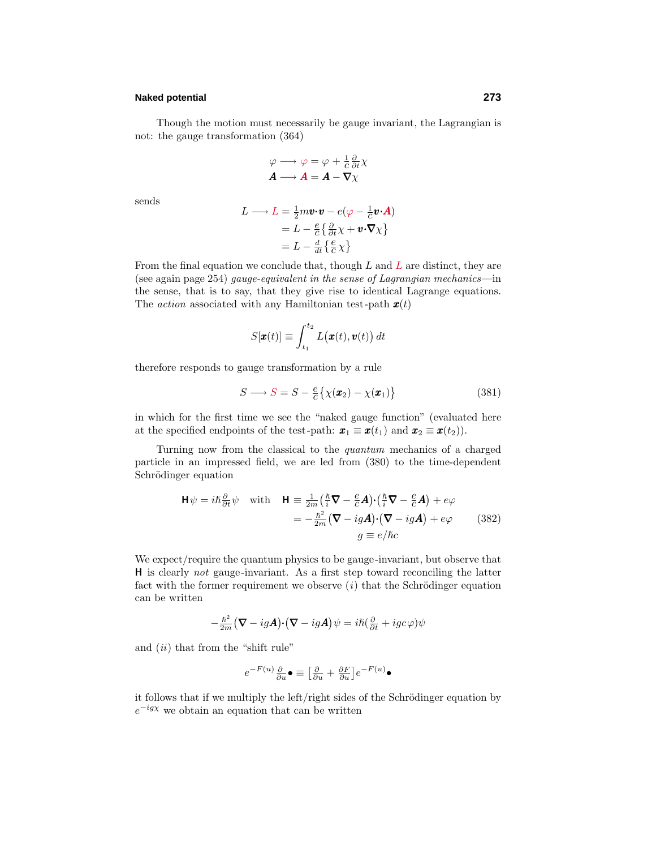# **Naked potential 273**

Though the motion must necessarily be gauge invariant, the Lagrangian is not: the gauge transformation (364)

$$
\varphi \longrightarrow \varphi = \varphi + \frac{1}{c} \frac{\partial}{\partial t} \chi
$$

$$
A \longrightarrow A = A - \nabla \chi
$$

sends

$$
L \longrightarrow L = \frac{1}{2} m \mathbf{v} \cdot \mathbf{v} - e(\varphi - \frac{1}{c} \mathbf{v} \cdot \mathbf{A})
$$
  
=  $L - \frac{e}{c} \{ \frac{\partial}{\partial t} \chi + \mathbf{v} \cdot \nabla \chi \}$   
=  $L - \frac{d}{dt} \{ \frac{e}{c} \chi \}$ 

From the final equation we conclude that, though *L* and *L* are distinct, they are (see again page 254) gauge-equivalent in the sense of Lagrangian mechanics—in the sense, that is to say, that they give rise to identical Lagrange equations. The action associated with any Hamiltonian test-path *x*(*t*)

$$
S[\pmb{x}(t)] \equiv \int_{t_1}^{t_2} L(\pmb{x}(t), \pmb{v}(t)) dt
$$

therefore responds to gauge transformation by a rule

$$
S \longrightarrow S = S - \frac{e}{c} \{ \chi(\boldsymbol{x}_2) - \chi(\boldsymbol{x}_1) \}
$$
(381)

in which for the first time we see the "naked gauge function" (evaluated here at the specified endpoints of the test-path:  $\mathbf{x}_1 \equiv \mathbf{x}(t_1)$  and  $\mathbf{x}_2 \equiv \mathbf{x}(t_2)$ ).

Turning now from the classical to the quantum mechanics of a charged particle in an impressed field, we are led from (380) to the time-dependent Schrödinger equation

$$
\mathbf{H}\psi = i\hbar \frac{\partial}{\partial t}\psi \quad \text{with} \quad \mathbf{H} \equiv \frac{1}{2m} \left( \frac{\hbar}{i} \nabla - \frac{e}{c} \mathbf{A} \right) \cdot \left( \frac{\hbar}{i} \nabla - \frac{e}{c} \mathbf{A} \right) + e\varphi
$$

$$
= -\frac{\hbar^2}{2m} (\nabla - ig\mathbf{A}) \cdot (\nabla - ig\mathbf{A}) + e\varphi \qquad (382)
$$

$$
g \equiv e/\hbar c
$$

We expect/require the quantum physics to be gauge-invariant, but observe that **H** is clearly not gauge-invariant. As a first step toward reconciling the latter fact with the former requirement we observe  $(i)$  that the Schrödinger equation can be written

$$
-\frac{\hbar^2}{2m}(\nabla - ig\boldsymbol{A}) \cdot (\nabla - ig\boldsymbol{A})\psi = i\hbar (\frac{\partial}{\partial t} + igc\varphi)\psi
$$

and  $(ii)$  that from the "shift rule"

$$
e^{-F(u)}\tfrac{\partial}{\partial u}\bullet \equiv \big[\tfrac{\partial}{\partial u}+\tfrac{\partial F}{\partial u}\big]e^{-F(u)}\bullet
$$

it follows that if we multiply the left/right sides of the Schrödinger equation by  $e^{-ig\chi}$  we obtain an equation that can be written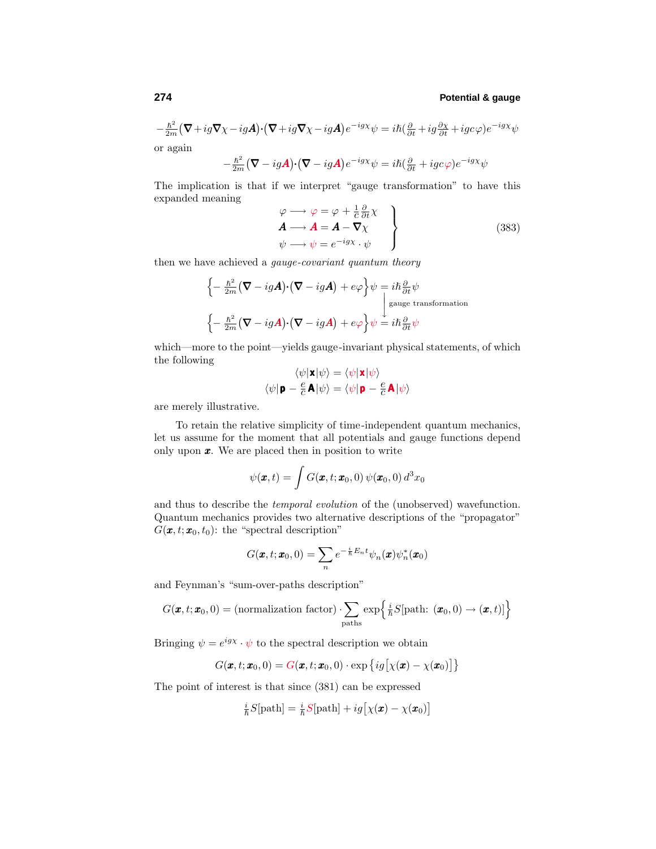$$
-\frac{\hbar^2}{2m}(\nabla + ig\nabla \chi - igA)\cdot (\nabla + ig\nabla \chi - igA)e^{-ig\chi}\psi = i\hbar(\frac{\partial}{\partial t} + ig\frac{\partial \chi}{\partial t} + igc\varphi)e^{-ig\chi}\psi
$$
or again

 $-\frac{\hbar^2}{2m}(\mathbf{\nabla} -ig\mathbf{A})\cdot(\mathbf{\nabla} -ig\mathbf{A})e^{-ig\chi}\psi = i\hbar(\frac{\partial}{\partial t} +igc\varphi)e^{-ig\chi}\psi$ 

The implication is that if we interpret "gauge transformation" to have this expanded meaning *∂*

$$
\begin{aligned}\n\varphi &\longrightarrow \varphi = \varphi + \frac{1}{c} \frac{\partial}{\partial t} \chi \\
A &\longrightarrow A = A - \nabla \chi \\
\psi &\longrightarrow \psi = e^{-ig\chi} \cdot \psi\n\end{aligned}
$$
\n(383)

then we have achieved a gauge-covariant quantum theory

$$
\begin{aligned}\n\left\{-\frac{\hbar^2}{2m}(\nabla - ig\boldsymbol{A})\cdot(\nabla - ig\boldsymbol{A}) + e\varphi\right\}\psi &= i\hbar\frac{\partial}{\partial t}\psi\\
\downarrow \text{gauge transformation}\\
\left\{-\frac{\hbar^2}{2m}(\nabla - ig\boldsymbol{A})\cdot(\nabla - ig\boldsymbol{A}) + e\varphi\right\}\psi &= i\hbar\frac{\partial}{\partial t}\psi\n\end{aligned}
$$

which—more to the point—yields gauge-invariant physical statements, of which the following

$$
\langle \psi | \mathbf{x} | \psi \rangle = \langle \psi | \mathbf{x} | \psi \rangle
$$

$$
\langle \psi | \mathbf{p} - \frac{e}{c} \mathbf{A} | \psi \rangle = \langle \psi | \mathbf{p} - \frac{e}{c} \mathbf{A} | \psi \rangle
$$

are merely illustrative.

To retain the relative simplicity of time-independent quantum mechanics, let us assume for the moment that all potentials and gauge functions depend only upon *x*.We are placed then in position to write

$$
\psi(\boldsymbol{x},t) = \int G(\boldsymbol{x},t;\boldsymbol{x}_0,0) \, \psi(\boldsymbol{x}_0,0) \, d^3x_0
$$

and thus to describe the temporal evolution of the (unobserved) wavefunction. Quantum mechanics provides two alternative descriptions of the "propagator"  $G(\mathbf{x}, t; \mathbf{x}_0, t_0)$ : the "spectral description"

$$
G(\pmb{x},t;\pmb{x}_0,0)=\sum_n e^{-\frac{i}{\hbar}E_n t}\psi_n(\pmb{x})\psi_n^*(\pmb{x}_0)
$$

and Feynman's "sum-over-paths description"

$$
G(\pmb{x},t;\pmb{x}_0,0) = (\text{normalization factor}) \cdot \sum_{\text{paths}} \exp\left\{ \frac{i}{\hbar} S[\text{path: } (\pmb{x}_0,0) \to (\pmb{x},t)] \right\}
$$

Bringing  $\psi = e^{igx} \cdot \psi$  to the spectral description we obtain

$$
G(\boldsymbol{x},t;\boldsymbol{x}_0,0)=G(\boldsymbol{x},t;\boldsymbol{x}_0,0)\cdot\exp\big\{ig\big[\chi(\boldsymbol{x})-\chi(\boldsymbol{x}_0)\big]\big\}
$$

The point of interest is that since (381) can be expressed

$$
\frac{i}{\hbar}S[\text{path}] = \frac{i}{\hbar}S[\text{path}] + ig[\chi(\pmb{x}) - \chi(\pmb{x}_0)]
$$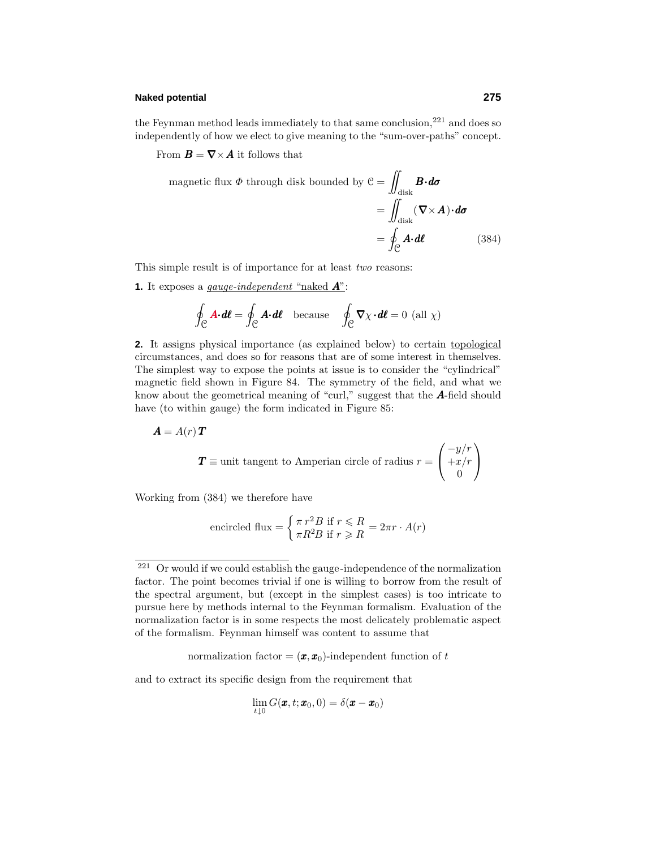#### **Naked potential 275**

the Feynman method leads immediately to that same conclusion, $^{221}$  and does so independently of how we elect to give meaning to the "sum-over-paths" concept.

From  $\mathbf{B} = \nabla \times \mathbf{A}$  it follows that

magnetic flux 
$$
\Phi
$$
 through disk bounded by  $C = \iint_{\text{disk}} \mathbf{B} \cdot d\sigma$   
=  $\iint_{\text{disk}} (\nabla \times \mathbf{A}) \cdot d\sigma$   
=  $\oint_C \mathbf{A} \cdot d\ell$  (384)

This simple result is of importance for at least two reasons:

**1.** It exposes a gauge-independent "naked *A*":

$$
\oint_{\mathcal{C}} \mathbf{A} \cdot d\mathbf{\ell} = \oint_{\mathcal{C}} \mathbf{A} \cdot d\mathbf{\ell} \quad \text{because} \quad \oint_{\mathcal{C}} \nabla \chi \cdot d\mathbf{\ell} = 0 \text{ (all } \chi)
$$

**2.** It assigns physical importance (as explained below) to certain topological circumstances, and does so for reasons that are of some interest in themselves. The simplest way to expose the points at issue is to consider the "cylindrical" magnetic field shown in Figure 84.The symmetry of the field, and what we know about the geometrical meaning of "curl," suggest that the *A*-field should have (to within gauge) the form indicated in Figure 85:

$$
\boldsymbol{A} = A(r) \, \boldsymbol{T}
$$

$$
T \equiv
$$
unit tangent to American circle of radius  $r = \begin{pmatrix} -y/r \\ +x/r \\ 0 \end{pmatrix}$ 

Working from (384) we therefore have

encircled flux = 
$$
\begin{cases} \pi r^2 B & \text{if } r \le R \\ \pi R^2 B & \text{if } r \ge R \end{cases} = 2\pi r \cdot A(r)
$$

normalization factor =  $(\mathbf{x}, \mathbf{x}_0)$ -independent function of *t* 

and to extract its specific design from the requirement that

$$
\lim_{t\downarrow 0} G(\pmb{x},t;\pmb{x}_0,0)=\delta(\pmb{x}-\pmb{x}_0)
$$

<sup>&</sup>lt;sup>221</sup> Or would if we could establish the gauge-independence of the normalization factor. The point becomes trivial if one is willing to borrow from the result of the spectral argument, but (except in the simplest cases) is too intricate to pursue here by methods internal to the Feynman formalism.Evaluation of the normalization factor is in some respects the most delicately problematic aspect of the formalism.Feynman himself was content to assume that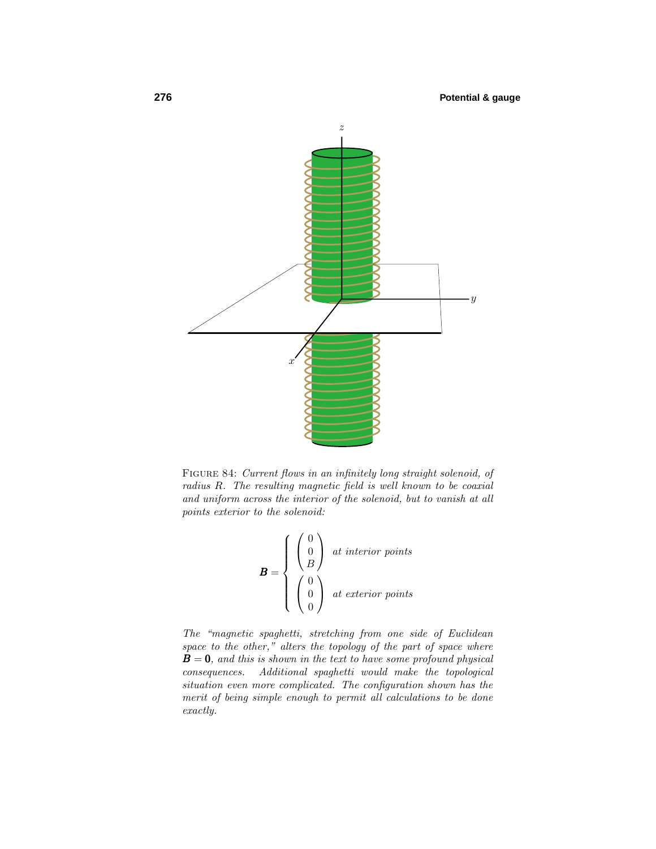

Figure 84: Current flows in an infinitely long straight solenoid, of radius *R*. The resulting magnetic field is well known to be coaxial and uniform across the interior of the solenoid, but to vanish at all points exterior to the solenoid:

$$
\mathbf{B} = \begin{cases} \begin{pmatrix} 0 \\ 0 \\ B \end{pmatrix} & \text{at interior points} \\ \begin{pmatrix} 0 \\ 0 \\ 0 \end{pmatrix} & \text{at exterior points} \end{cases}
$$

The "magnetic spaghetti, stretching from one side of Euclidean space to the other," alters the topology of the part of space where **, and this is shown in the text to have some profound physical** consequences. Additional spaghetti would make the topological situation even more complicated. The configuration shown has the merit of being simple enough to permit all calculations to be done exactly.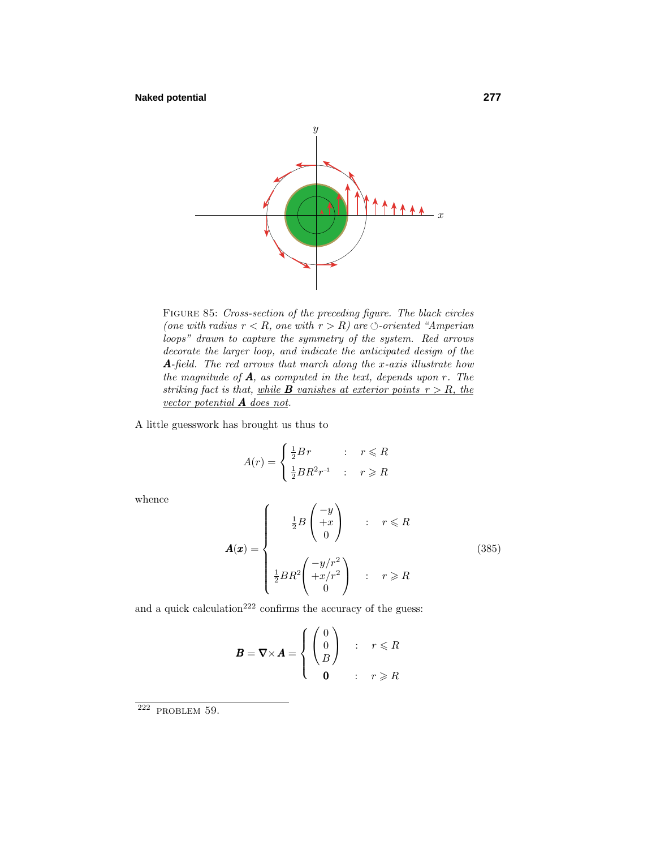

Figure 85: Cross-section of the preceding figure. The black circles (one with radius  $r < R$ , one with  $r > R$ ) are  $\Diamond$ -oriented "Amperian" loops" drawn to capture the symmetry of the system. Red arrows decorate the larger loop, and indicate the anticipated design of the *A*-field. The red arrows that march along the *x*-axis illustrate how the magnitude of *A*, as computed in the text, depends upon *r*. The striking fact is that, while **B** vanishes at exterior points  $r > R$ , the vector potential *A* does not.

A little guesswork has brought us thus to

$$
A(r) = \begin{cases} \frac{1}{2}Br & : r \leq R \\ \frac{1}{2}BR^2r^{-1} & : r \geq R \end{cases}
$$

whence

$$
\mathbf{A}(\mathbf{x}) = \begin{cases} \frac{1}{2}B \begin{pmatrix} -y \\ +x \\ 0 \end{pmatrix} & : r \leq R \\ \frac{1}{2}BR^2 \begin{pmatrix} -y/r^2 \\ +x/r^2 \\ 0 \end{pmatrix} & : r \geq R \end{cases}
$$
(385)

and a quick calculation<sup>222</sup> confirms the accuracy of the guess:

$$
\boldsymbol{B} = \nabla \times \boldsymbol{A} = \begin{cases} \begin{pmatrix} 0 \\ 0 \\ B \end{pmatrix} & : r \leq R \\ 0 & : r \geq R \end{cases}
$$

 $222$  PROBLEM 59.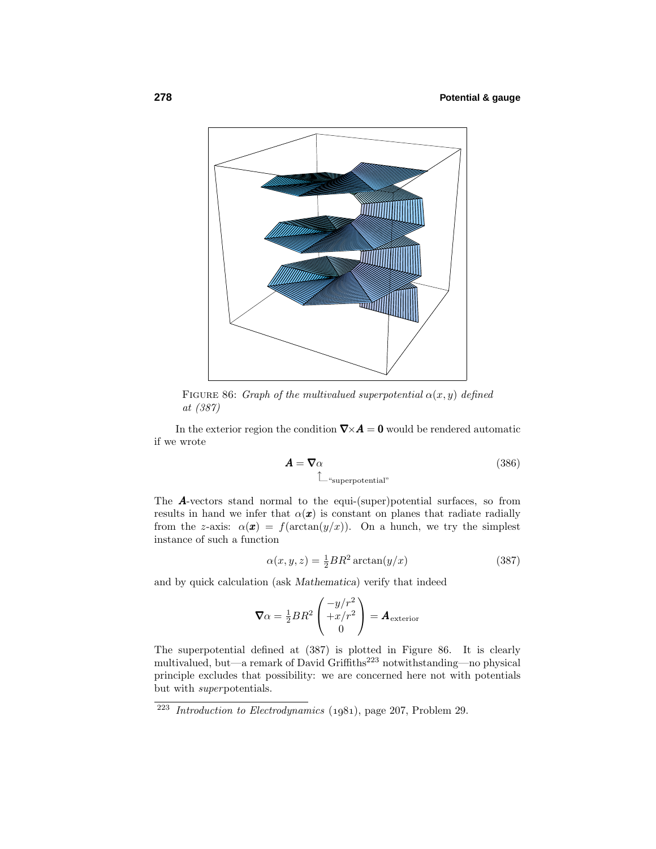

FIGURE 86: Graph of the multivalued superpotential  $\alpha(x, y)$  defined at (387)

In the exterior region the condition  $\nabla \times A = 0$  would be rendered automatic if we wrote

$$
\mathbf{A} = \nabla \alpha \tag{386}
$$
\n
$$
\hat{\mathbb{L}}^{\text{``superpotential''}}
$$

The *A*-vectors stand normal to the equi-(super)potential surfaces, so from results in hand we infer that  $\alpha(\mathbf{x})$  is constant on planes that radiate radially from the *z*-axis:  $\alpha(\mathbf{x}) = f(\arctan(y/x))$ . On a hunch, we try the simplest instance of such a function

$$
\alpha(x, y, z) = \frac{1}{2}BR^2 \arctan(y/x) \tag{387}
$$

and by quick calculation (ask *Mathematica*) verify that indeed

$$
\nabla \alpha = \frac{1}{2} BR^2 \begin{pmatrix} -y/r^2 \\ +x/r^2 \\ 0 \end{pmatrix} = \mathbf{A}_{\text{exterior}}
$$

The superpotential defined at  $(387)$  is plotted in Figure 86. It is clearly multivalued, but—a remark of David Griffiths<sup>223</sup> notwithstanding—no physical principle excludes that possibility: we are concerned here not with potentials but with superpotentials.

 $223$  Introduction to Electrodynamics (1981), page 207, Problem 29.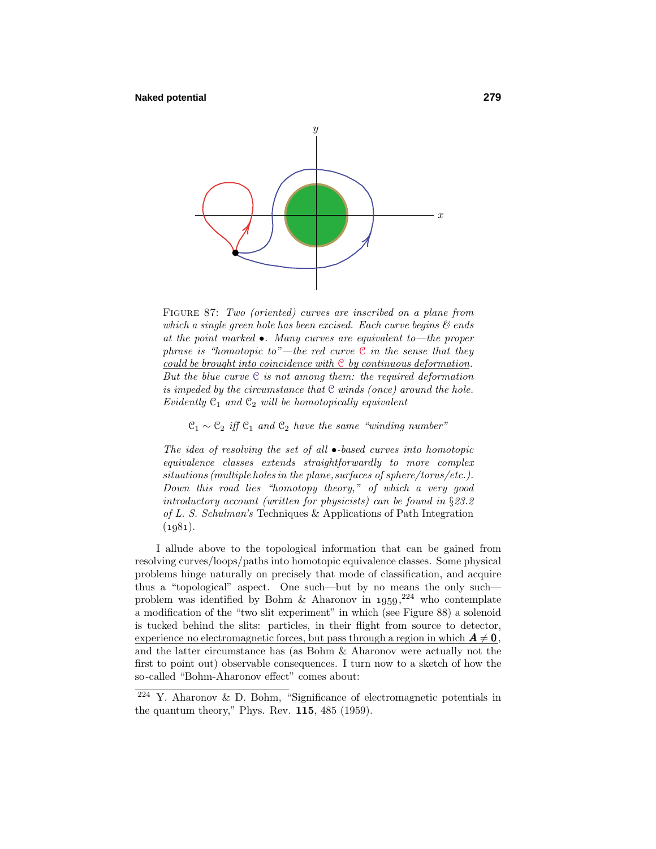

FIGURE 87: Two (oriented) curves are inscribed on a plane from which a single green hole has been excised. Each curve begins  $\mathcal{B}$  ends at the point marked  $\bullet$ . Many curves are equivalent to—the proper phrase is "homotopic to"—the red curve  $C$  in the sense that they could be brought into coincidence with  $C$  by continuous deformation. But the blue curve  $C$  is not among them: the required deformation is impeded by the circumstance that  $C$  winds (once) around the hole. Evidently  $\mathfrak{C}_1$  and  $\mathfrak{C}_2$  will be homotopically equivalent

 $\mathfrak{C}_1 \sim \mathfrak{C}_2$  iff  $\mathfrak{C}_1$  and  $\mathfrak{C}_2$  have the same "winding number"

The idea of resolving the set of all  $\bullet$ -based curves into homotopic equivalence classes extends straightforwardly to more complex situations (multiple holes in the plane, surfaces of sphere/torus/etc.). Down this road lies "homotopy theory," of which a very good introductory account (written for physicists) can be found in §23.2 of L. S. Schulman's Techniques & Applications of Path Integration  $(1981).$ 

I allude above to the topological information that can be gained from resolving curves/loops/paths into homotopic equivalence classes. Some physical problems hinge naturally on precisely that mode of classification, and acquire thus a "topological" aspect. One such—but by no means the only such problem was identified by Bohm & Aharonov in  $1959,^{224}$  who contemplate a modification of the "two slit experiment" in which (see Figure 88) a solenoid is tucked behind the slits: particles, in their flight from source to detector,  $\frac{1}{2}$  experience no electromagnetic forces, but pass through a region in which  $A \neq 0$ , and the latter circumstance has (as Bohm & Aharonov were actually not the first to point out) observable consequences.I turn now to a sketch of how the so-called "Bohm-Aharonov effect" comes about:

 $224$  Y. Aharonov & D. Bohm, "Significance of electromagnetic potentials in the quantum theory," Phys. Rev.  $115$ ,  $485$  (1959).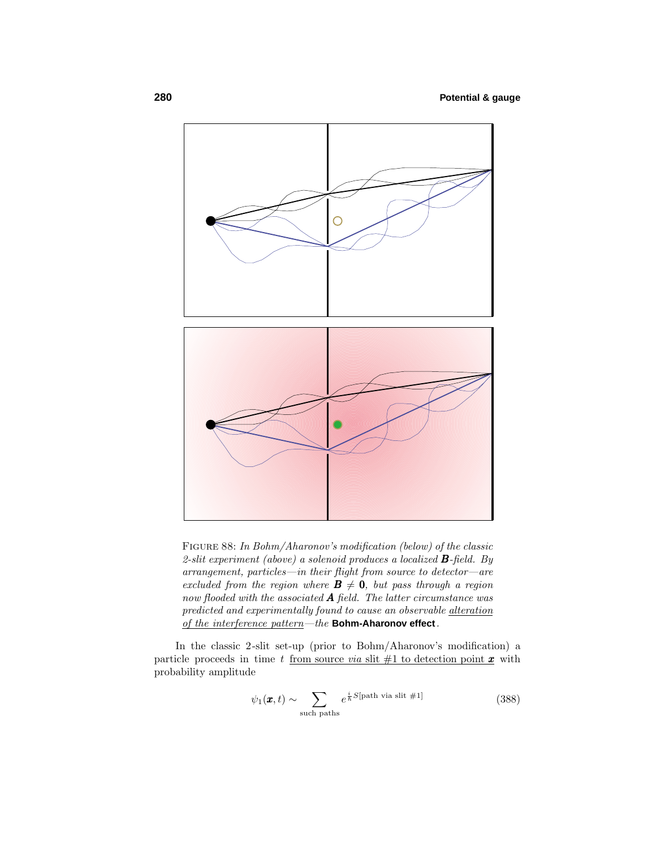

Figure 88: In Bohm/Aharonov's modification (below) of the classic 2-slit experiment (above) a solenoid produces a localized *B*-field. By arrangement, particles—in their flight from source to detector—are excluded from the region where  $\mathbf{B} \neq \mathbf{0}$ , but pass through a region now flooded with the associated  $A$  field. The latter circumstance was predicted and experimentally found to cause an observable *alteration* of the interference pattern—the **Bohm-Aharonov effect**.

In the classic 2-slit set-up (prior to Bohm/Aharonov's modification) a particle proceeds in time *t* from source *via* slit  $#1$  to detection point  $x$  with probability amplitude

$$
\psi_1(\pmb{x},t) \sim \sum_{\text{such paths}} e^{\frac{i}{\hbar}S[\text{path via slit #1}]} \tag{388}
$$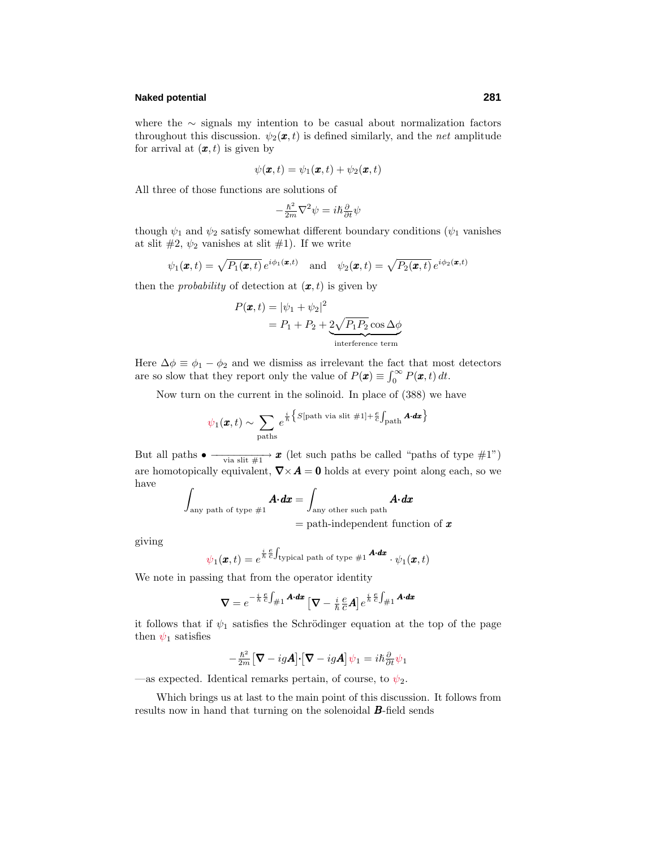# **Naked potential 281**

where the ∼ signals my intention to be casual about normalization factors throughout this discussion.  $\psi_2(\mathbf{x}, t)$  is defined similarly, and the *net* amplitude for arrival at  $(x, t)$  is given by

$$
\psi(\pmb{x},t)=\psi_1(\pmb{x},t)+\psi_2(\pmb{x},t)
$$

All three of those functions are solutions of

$$
-\frac{\hslash^{2}}{2m}\nabla^{2}\psi=i\hslash\frac{\partial}{\partial t}\psi
$$

though  $\psi_1$  and  $\psi_2$  satisfy somewhat different boundary conditions ( $\psi_1$  vanishes at slit  $\#2$ ,  $\psi_2$  vanishes at slit  $\#1$ ). If we write

$$
\psi_1(\mathbf{x},t) = \sqrt{P_1(\mathbf{x},t)} e^{i\phi_1(\mathbf{x},t)}
$$
 and  $\psi_2(\mathbf{x},t) = \sqrt{P_2(\mathbf{x},t)} e^{i\phi_2(\mathbf{x},t)}$ 

then the *probability* of detection at  $(\mathbf{x}, t)$  is given by

$$
P(\mathbf{x},t) = |\psi_1 + \psi_2|^2
$$
  
=  $P_1 + P_2 + 2\sqrt{P_1 P_2} \cos \Delta \phi$   
interference term

Here  $\Delta \phi \equiv \phi_1 - \phi_2$  and we dismiss as irrelevant the fact that most detectors are so slow that they report only the value of  $P(\mathbf{x}) \equiv \int_0^\infty P(\mathbf{x}, t) dt$ .

Now turn on the current in the solinoid.In place of (388) we have

$$
\psi_1(\pmb{x},t) \sim \sum_{\text{paths}} e^{\frac{i}{\hbar}\left\{S[\text{path via slit #1}] + \frac{\pmb{e}}{c}\int_{\text{path}} \pmb{A} \cdot \pmb{dx}\right\}}
$$

But all paths  $\bullet \longrightarrow_{\text{via slit}\#1} \mathcal{X}$  (let such paths be called "paths of type #1") are homotopically equivalent,  $\nabla \times \mathbf{A} = \mathbf{0}$  holds at every point along each, so we have

$$
\int_{\text{any path of type #1}} \mathbf{A} \cdot d\mathbf{x} = \int_{\text{any other such path}} \mathbf{A} \cdot d\mathbf{x}
$$
\n
$$
= \text{path-independent function of } \mathbf{x}
$$

giving

$$
\psi_1(\pmb{x},t)=e^{\frac{i}{\hbar}\frac{\pmb{c}}{C}\int_{\text{typical path of type $\#1$}}\pmb{A}\cdot \pmb{dx}}\cdot \psi_1(\pmb{x},t)
$$

We note in passing that from the operator identity

$$
\boldsymbol{\nabla}=e^{-\frac{i}{\hbar}\frac{\boldsymbol{e}}{C}\int_{\#1}\boldsymbol{A}\cdot\boldsymbol{dx}}\left[\boldsymbol{\nabla}-\frac{i}{\hbar}\frac{\boldsymbol{e}}{C}\boldsymbol{A}\right]e^{\frac{i}{\hbar}\frac{\boldsymbol{e}}{C}\int_{\#1}\boldsymbol{A}\cdot\boldsymbol{dx}}
$$

it follows that if  $\psi_1$  satisfies the Schrödinger equation at the top of the page then  $\psi_1$  satisfies

$$
-\frac{\hbar^2}{2m}\big[\boldsymbol{\nabla} - ig\boldsymbol{A}\big]\cdot\big[\boldsymbol{\nabla} - ig\boldsymbol{A}\big]\psi_1 = i\hbar\frac{\partial}{\partial t}\psi_1
$$

—as expected. Identical remarks pertain, of course, to  $\psi_2$ .

Which brings us at last to the main point of this discussion. It follows from results now in hand that turning on the solenoidal *B*-field sends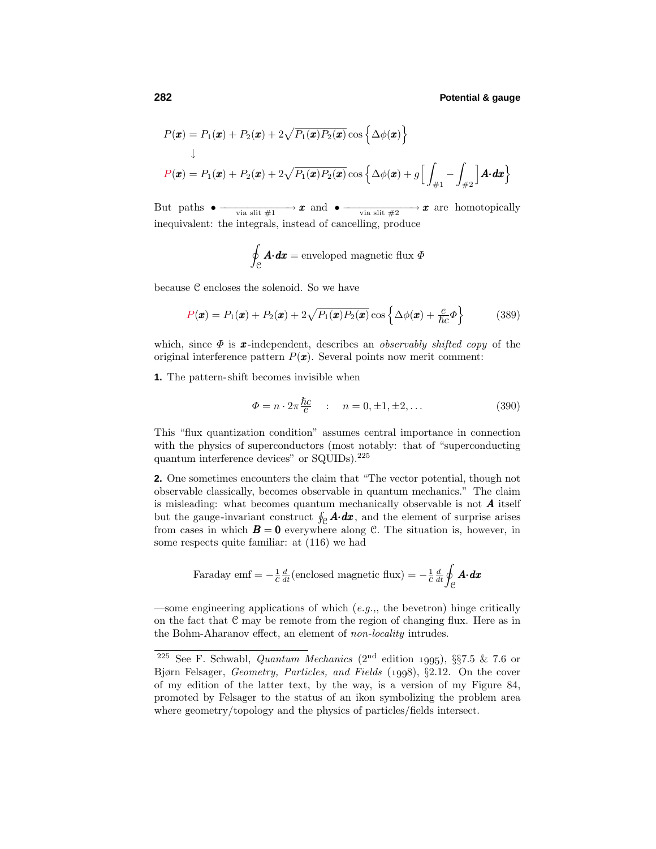$$
P(\mathbf{x}) = P_1(\mathbf{x}) + P_2(\mathbf{x}) + 2\sqrt{P_1(\mathbf{x})P_2(\mathbf{x})}\cos\left\{\Delta\phi(\mathbf{x})\right\}
$$
  
\n
$$
\downarrow
$$
  
\n
$$
P(\mathbf{x}) = P_1(\mathbf{x}) + P_2(\mathbf{x}) + 2\sqrt{P_1(\mathbf{x})P_2(\mathbf{x})}\cos\left\{\Delta\phi(\mathbf{x}) + g\left[\int_{\#1} - \int_{\#2}\right] \mathbf{A} \cdot d\mathbf{x}\right\}
$$

But paths  $\bullet \longrightarrow x$  and  $\bullet \longrightarrow x$  and  $\bullet \longrightarrow x$  are homotopically inequivalent: the integrals, instead of cancelling, produce

$$
\oint_{\mathcal{C}} \mathbf{A} \cdot d\mathbf{x} = \text{enveloped magnetic flux } \Phi
$$

because  $C$  encloses the solenoid. So we have

$$
P(\boldsymbol{x}) = P_1(\boldsymbol{x}) + P_2(\boldsymbol{x}) + 2\sqrt{P_1(\boldsymbol{x})P_2(\boldsymbol{x})}\cos\left\{\Delta\phi(\boldsymbol{x}) + \frac{e}{\hbar c}\Phi\right\}
$$
(389)

which, since  $\Phi$  is **x**-independent, describes an *observably shifted copy* of the original interference pattern  $P(\mathbf{x})$ . Several points now merit comment:

**1.** The pattern-shift becomes invisible when

$$
\Phi = n \cdot 2\pi \frac{\hbar c}{e} \quad : \quad n = 0, \pm 1, \pm 2, \dots \tag{390}
$$

This "flux quantization condition" assumes central importance in connection with the physics of superconductors (most notably: that of "superconducting quantum interference devices" or SQUIDs).<sup>225</sup>

**2.** One sometimes encounters the claim that "The vector potential, though not observable classically, becomes observable in quantum mechanics." The claim is misleading: what becomes quantum mechanically observable is not *A* itself but the gauge-invariant construct  $\oint_{\mathcal{C}} \mathbf{A} \cdot d\mathbf{x}$ , and the element of surprise arises from cases in which  $\mathbf{B} = \mathbf{0}$  everywhere along C. The situation is, however, in some respects quite familiar: at (116) we had

Faraday emf = 
$$
-\frac{1}{c}\frac{d}{dt}
$$
(enclosed magnetic flux) =  $-\frac{1}{c}\frac{d}{dt}\oint_C \mathbf{A} \cdot d\mathbf{x}$ 

—some engineering applications of which  $(e.g.,, \text{ the between})$  hinge critically on the fact that  $C$  may be remote from the region of changing flux. Here as in the Bohm-Aharanov effect, an element of non-locality intrudes.

<sup>&</sup>lt;sup>225</sup> See F. Schwabl, *Quantum Mechanics* (2<sup>nd</sup> edition 1995), §§7.5 & 7.6 or Bjørn Felsager, Geometry, Particles, and Fields (1998), §2.12. On the cover of my edition of the latter text, by the way, is a version of my Figure 84, promoted by Felsager to the status of an ikon symbolizing the problem area where geometry/topology and the physics of particles/fields intersect.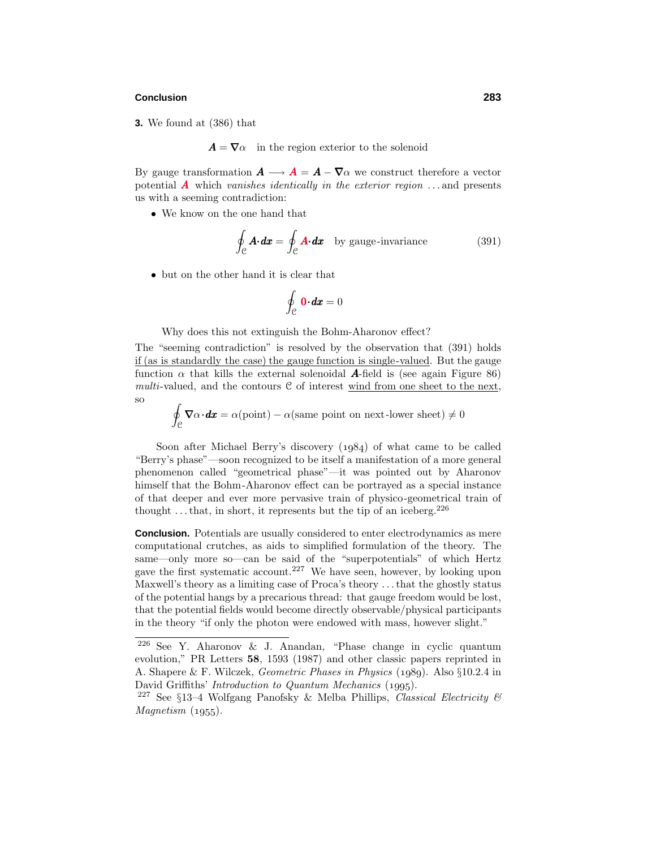#### **Conclusion 283**

**3.** We found at (386) that

 $\mathbf{A} = \nabla \alpha$  in the region exterior to the solenoid

By gauge transformation  $\mathbf{A} \longrightarrow \mathbf{A} = \mathbf{A} - \nabla \alpha$  we construct therefore a vector potential  $\vec{A}$  which vanishes identically in the exterior region  $\dots$  and presents us with a seeming contradiction:

• We know on the one hand that

$$
\oint_{\mathcal{C}} \mathbf{A} \cdot d\mathbf{x} = \oint_{\mathcal{C}} \mathbf{A} \cdot d\mathbf{x} \quad \text{by gauge-invariance} \tag{391}
$$

• but on the other hand it is clear that

$$
\oint_{\mathcal{C}} \mathbf{0} \cdot d\mathbf{x} = 0
$$

Why does this not extinguish the Bohm-Aharonov effect?

The "seeming contradiction" is resolved by the observation that (391) holds if (as is standardly the case) the gauge function is single-valued. But the gauge function  $\alpha$  that kills the external solenoidal **A**-field is (see again Figure 86) multi-valued, and the contours  $C$  of interest wind from one sheet to the next, so

- $\oint_C \nabla \alpha \cdot d\mathbf{x} = \alpha(\text{point}) - \alpha(\text{same point on next-lower sheet}) \neq 0$ 

Soon after Michael Berry's discovery  $(1984)$  of what came to be called "Berry's phase"—soon recognized to be itself a manifestation of a more general phenomenon called "geometrical phase"—it was pointed out by Aharonov himself that the Bohm-Aharonov effect can be portrayed as a special instance of that deeper and ever more pervasive train of physico-geometrical train of thought  $\dots$  that, in short, it represents but the tip of an iceberg.<sup>226</sup>

**Conclusion.** Potentials are usually considered to enter electrodynamics as mere computational crutches, as aids to simplified formulation of the theory. The same—only more so—can be said of the "superpotentials" of which Hertz gave the first systematic account.<sup>227</sup> We have seen, however, by looking upon Maxwell's theory as a limiting case of Proca's theory *...*that the ghostly status of the potential hangs by a precarious thread: that gauge freedom would be lost, that the potential fields would become directly observable/physical participants in the theory "if only the photon were endowed with mass, however slight."

<sup>226</sup> See Y. Aharonov & J. Anandan, "Phase change in cyclic quantum evolution," PR Letters **58**, 1593 (1987) and other classic papers reprinted in A. Shapere & F. Wilczek, Geometric Phases in Physics (1989). Also §10.2.4 in David Griffiths' *Introduction to Quantum Mechanics* (1995).

<sup>&</sup>lt;sup>227</sup> See §13-4 Wolfgang Panofsky & Melba Phillips, Classical Electricity &  $Magnetism (1955).$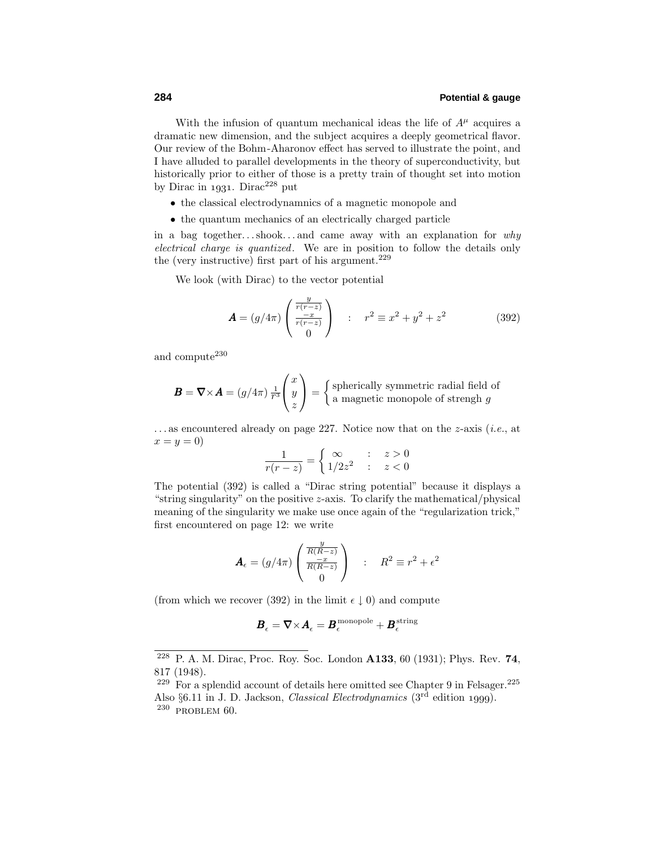With the infusion of quantum mechanical ideas the life of  $A^{\mu}$  acquires a dramatic new dimension, and the subject acquires a deeply geometrical flavor. Our review of the Bohm-Aharonov effect has served to illustrate the point, and I have alluded to parallel developments in the theory of superconductivity, but historically prior to either of those is a pretty train of thought set into motion by Dirac in 1931. Dirac<sup>228</sup> put

- the classical electrodynamnics of a magnetic monopole and
- the quantum mechanics of an electrically charged particle

in a bag together*...*shook*...* and came away with an explanation for why electrical charge is quantized. We are in position to follow the details only the (very instructive) first part of his argument.<sup>229</sup>

We look (with Dirac) to the vector potential

$$
\mathbf{A} = (g/4\pi) \begin{pmatrix} \frac{y}{r(r-z)} \\ \frac{-x}{r(r-z)} \\ 0 \end{pmatrix} : r^2 \equiv x^2 + y^2 + z^2
$$
 (392)

and compute  $230$ 

$$
\mathbf{B} = \nabla \times \mathbf{A} = (g/4\pi) \frac{1}{r^3} \begin{pmatrix} x \\ y \\ z \end{pmatrix} = \begin{cases} \text{spherically symmetric radial field of} \\ \text{a magnetic monopole of strength } g \end{cases}
$$

*...* as encountered already on page 227. Notice now that on the *z*-axis (i.e., at  $x = y = 0$ 

$$
\frac{1}{r(r-z)} = \begin{cases} \infty & : z > 0 \\ 1/2z^2 & : z < 0 \end{cases}
$$

The potential (392) is called a "Dirac string potential" because it displays a "string singularity" on the positive *z*-axis. To clarify the mathematical/physical meaning of the singularity we make use once again of the "regularization trick," first encountered on page 12: we write

$$
\mathbf{A}_{\epsilon} = (g/4\pi) \begin{pmatrix} \frac{y}{R(R-z)} \\ \frac{-x}{R(R-z)} \\ 0 \end{pmatrix} : R^2 \equiv r^2 + \epsilon^2
$$

(from which we recover (392) in the limit  $\epsilon \downarrow 0$ ) and compute

$$
\pmb{B}_{\epsilon} = \pmb{\nabla} \times \pmb{A}_{\epsilon} = \pmb{B}_{\epsilon}^{\text{monopole}} + \pmb{B}_{\epsilon}^{\text{string}}
$$

<sup>228</sup> P. A. M. Dirac, Proc. Roy. Soc. London **A133**, 60 (1931); Phys. Rev. **74**, 817 (1948).

 $229$  For a splendid account of details here omitted see Chapter 9 in Felsager.<sup>225</sup> Also  $\S6.11$  in J. D. Jackson, *Classical Electrodynamics* (3<sup>rd</sup> edition 1999).  $230$  PROBLEM  $60$ .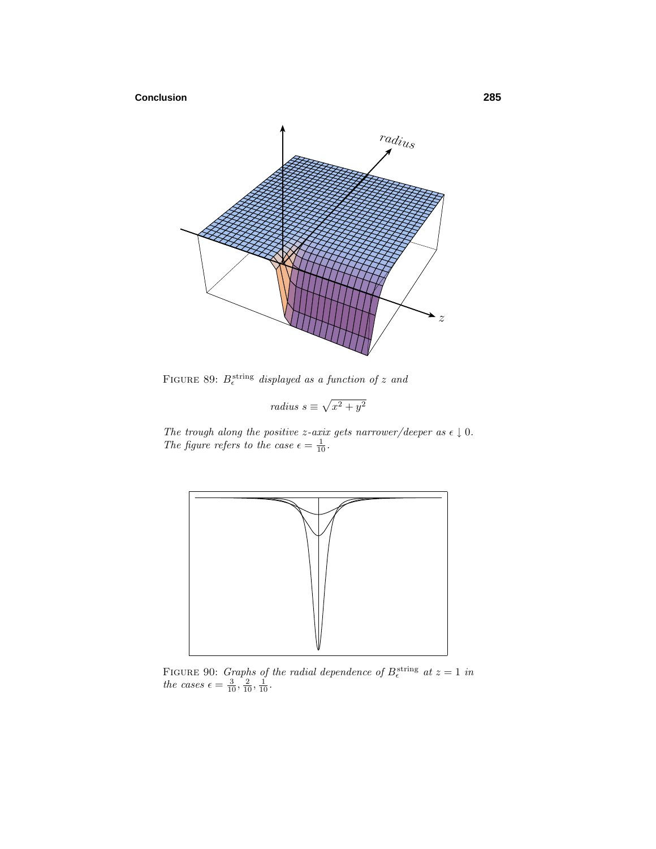# **Conclusion 285**



FIGURE 89:  $B_{\epsilon}^{\text{string}}$  displayed as a function of *z* and

radius 
$$
s \equiv \sqrt{x^2 + y^2}
$$

The trough along the positive *z*-axix gets narrower/deeper as  $\epsilon \downarrow 0$ . The figure refers to the case  $\epsilon = \frac{1}{10}$ .



FIGURE 90: *Graphs of the radial dependence of*  $B_{\epsilon}^{\text{string}}$  at  $z = 1$  in the cases  $\epsilon = \frac{3}{10}, \frac{2}{10}, \frac{1}{10}$ .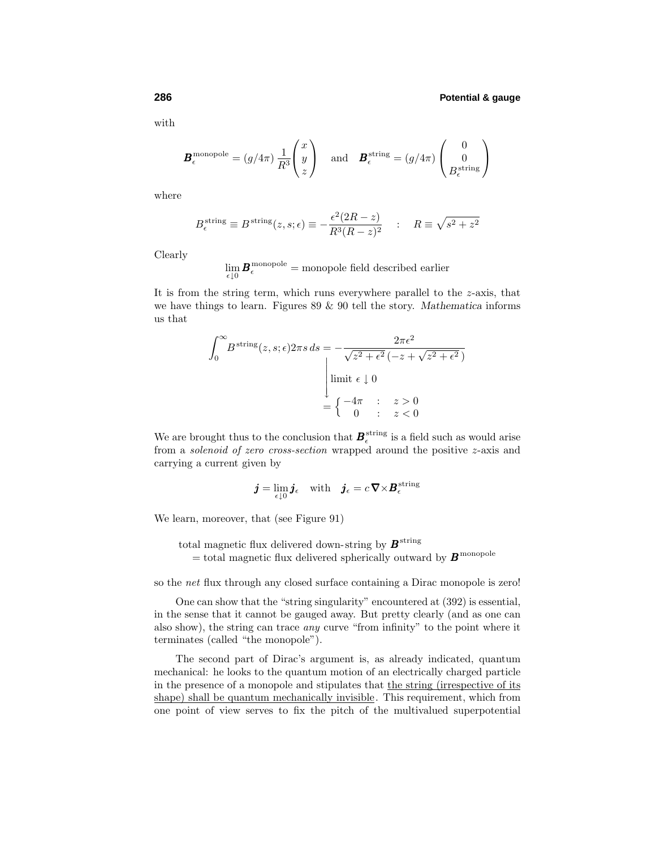with

$$
\boldsymbol{B}_{\epsilon}^{\text{monopole}} = (g/4\pi) \frac{1}{R^3} \begin{pmatrix} x \\ y \\ z \end{pmatrix} \quad \text{and} \quad \boldsymbol{B}_{\epsilon}^{\text{string}} = (g/4\pi) \begin{pmatrix} 0 \\ 0 \\ B_{\epsilon}^{\text{string}} \end{pmatrix}
$$

where

$$
B_{\epsilon}^{\text{string}} \equiv B^{\text{string}}(z, s; \epsilon) \equiv -\frac{\epsilon^2 (2R - z)}{R^3 (R - z)^2} \quad : \quad R \equiv \sqrt{s^2 + z^2}
$$

Clearly

$$
\lim_{\epsilon \downarrow 0} \boldsymbol{B}_{\epsilon}^{\text{monopole}} = \text{monopole field described earlier}
$$

It is from the string term, which runs everywhere parallel to the *z*-axis, that we have things to learn. Figures 89 & 90 tell the story. *Mathematica* informs us that

$$
\int_0^\infty B^{\text{string}}(z, s; \epsilon) 2\pi s \, ds = -\frac{2\pi \epsilon^2}{\sqrt{z^2 + \epsilon^2} \left(-z + \sqrt{z^2 + \epsilon^2}\right)}
$$
\n
$$
\begin{array}{c}\n\text{limit } \epsilon \downarrow 0 \\
=\begin{cases}\n-4\pi & : z > 0 \\
0 & : z < 0\n\end{cases}\n\end{array}
$$

We are brought thus to the conclusion that  $B_{\epsilon}^{\text{string}}$  is a field such as would arise from a solenoid of zero cross-section wrapped around the positive *z*-axis and carrying a current given by

$$
\boldsymbol{j} = \lim_{\epsilon \downarrow 0} \boldsymbol{j}_{\epsilon} \quad \text{with} \quad \boldsymbol{j}_{\epsilon} = c \, \nabla \times \boldsymbol{B}_{\epsilon}^{\text{string}}
$$

We learn, moreover, that (see Figure 91)

total magnetic flux delivered down-string by  $\pmb B^{\rm string}$  $=$  total magnetic flux delivered spherically outward by  $B$ <sup>monopole</sup>

so the net flux through any closed surface containing a Dirac monopole is zero!

One can show that the "string singularity" encountered at (392) is essential, in the sense that it cannot be gauged away. But pretty clearly (and as one can also show), the string can trace any curve "from infinity" to the point where it terminates (called "the monopole").

The second part of Dirac's argument is, as already indicated, quantum mechanical: he looks to the quantum motion of an electrically charged particle in the presence of a monopole and stipulates that the string (irrespective of its shape) shall be quantum mechanically invisible. This requirement, which from one point of view serves to fix the pitch of the multivalued superpotential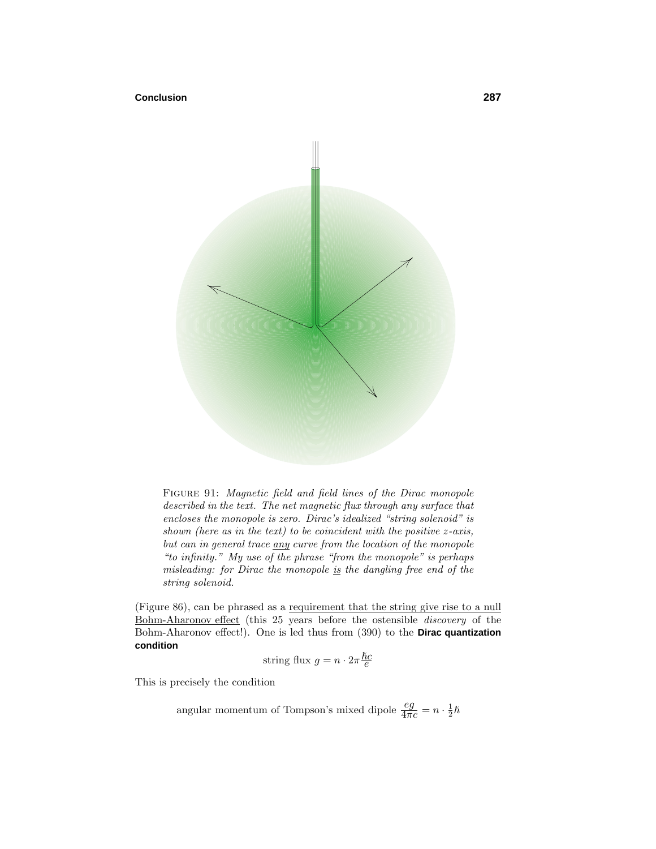#### **Conclusion 287**



FIGURE 91: Magnetic field and field lines of the Dirac monopole described in the text. The net magnetic flux through any surface that encloses the monopole is zero. Dirac's idealized "string solenoid" is shown (here as in the text) to be coincident with the positive *z*-axis, but can in general trace any curve from the location of the monopole "to infinity." My use of the phrase "from the monopole" is perhaps misleading: for Dirac the monopole is the dangling free end of the string solenoid.

(Figure 86), can be phrased as a requirement that the string give rise to a null Bohm-Aharonov effect (this 25 years before the ostensible discovery of the Bohm-Aharonov effect!). One is led thus from (390) to the **Dirac quantization condition**

string flux 
$$
g=n\cdot 2\pi\frac{\hslash c}{e}
$$

This is precisely the condition

angular momentum of Tompson's mixed dipole  $\frac{eg}{4\pi c} = n \cdot \frac{1}{2}\hbar$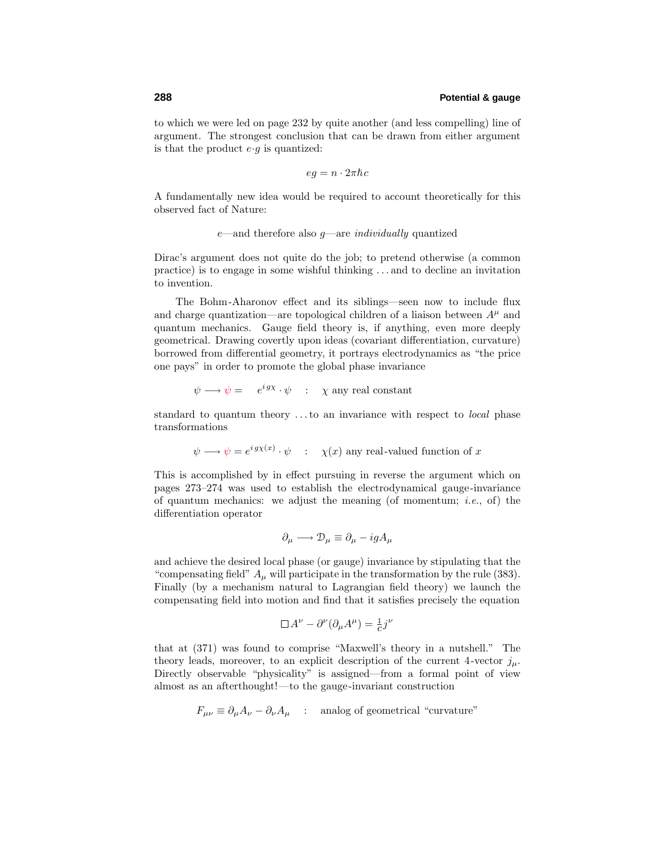to which we were led on page 232 by quite another (and less compelling) line of argument. The strongest conclusion that can be drawn from either argument is that the product  $e \cdot g$  is quantized:

$$
eg = n \cdot 2\pi \hbar c
$$

A fundamentally new idea would be required to account theoretically for this observed fact of Nature:

*e*—and therefore also *g*—are individually quantized

Dirac's argument does not quite do the job; to pretend otherwise (a common practice) is to engage in some wishful thinking *...* and to decline an invitation to invention.

The Bohm-Aharonov effect and its siblings—seen now to include flux and charge quantization—are topological children of a liaison between  $A^{\mu}$  and quantum mechanics. Gauge field theory is, if anything, even more deeply geometrical. Drawing covertly upon ideas (covariant differentiation, curvature) borrowed from differential geometry, it portrays electrodynamics as "the price one pays" in order to promote the global phase invariance

$$
\psi \longrightarrow \psi = e^{igx} \cdot \psi \quad : \quad \chi \text{ any real constant}
$$

standard to quantum theory *...*to an invariance with respect to local phase transformations

 $\psi \longrightarrow \psi = e^{ig\chi(x)} \cdot \psi$  : *χ*(*x*) any real-valued function of *x* 

This is accomplished by in effect pursuing in reverse the argument which on pages 273–274 was used to establish the electrodynamical gauge-invariance of quantum mechanics: we adjust the meaning (of momentum; *i.e.*, of) the differentiation operator

$$
\partial_{\mu} \longrightarrow \mathcal{D}_{\mu} \equiv \partial_{\mu} - igA_{\mu}
$$

and achieve the desired local phase (or gauge) invariance by stipulating that the "compensating field"  $A_\mu$  will participate in the transformation by the rule (383). Finally (by a mechanism natural to Lagrangian field theory) we launch the compensating field into motion and find that it satisfies precisely the equation

$$
\Box A^{\nu} - \partial^{\nu} (\partial_{\mu} A^{\mu}) = \frac{1}{c} j^{\nu}
$$

that at (371) was found to comprise "Maxwell's theory in a nutshell." The theory leads, moreover, to an explicit description of the current 4-vector  $j_{\mu}$ . Directly observable "physicality" is assigned—from a formal point of view almost as an afterthought!—to the gauge-invariant construction

$$
F_{\mu\nu} \equiv \partial_{\mu}A_{\nu} - \partial_{\nu}A_{\mu} \quad : \quad \text{analog of geometrical \text{``curvature''}}
$$